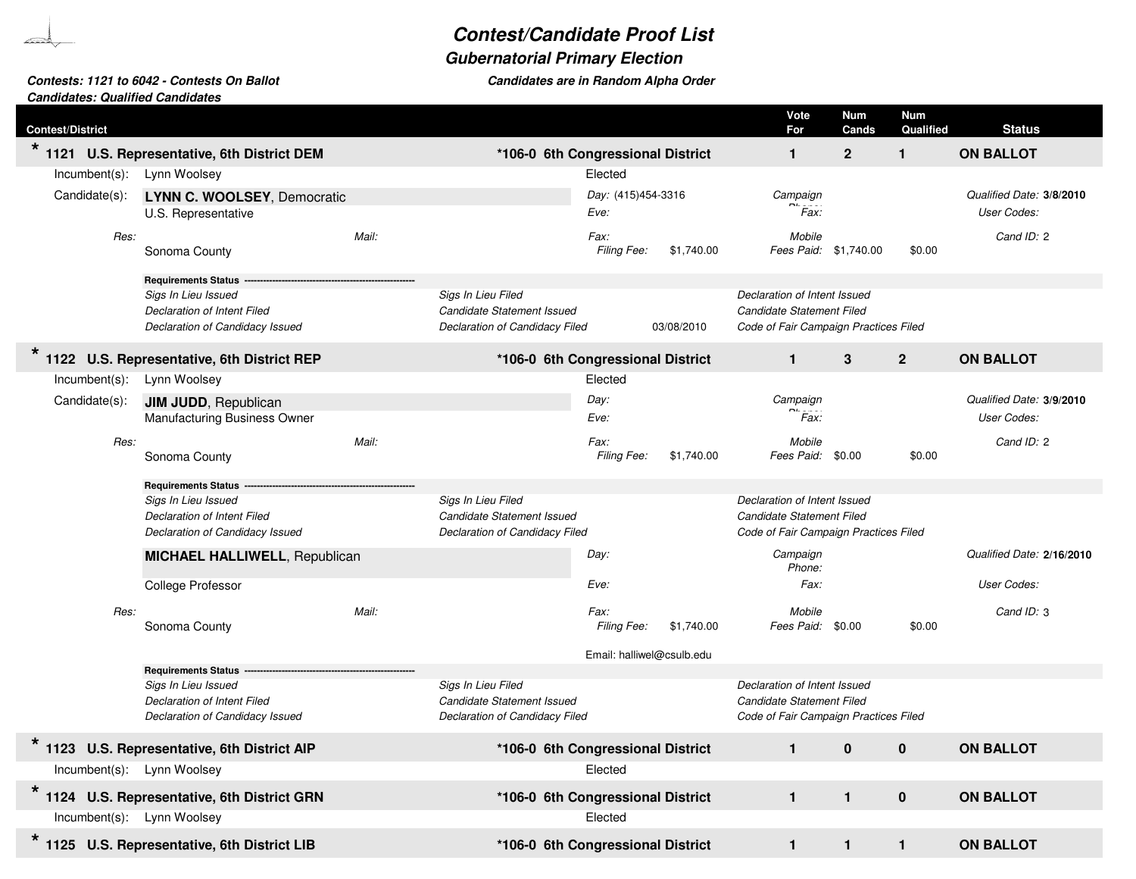## **Contest/Candidate Proof List**

## **Gubernatorial Primary Election**

**Candidates are in Random Alpha Order**

## **Contests: 1121 to 6042 - Contests On BallotCandidates: Qualified Candidates**

| <b>Contest/District</b>    |                                              |       |                                   |                           |            | Vote<br>For                           | <b>Num</b><br>Cands | <b>Num</b><br>Qualified | <b>Status</b>             |
|----------------------------|----------------------------------------------|-------|-----------------------------------|---------------------------|------------|---------------------------------------|---------------------|-------------------------|---------------------------|
|                            | 1121 U.S. Representative, 6th District DEM   |       | *106-0 6th Congressional District |                           |            | $\mathbf{1}$                          | $\mathbf{2}$        | $\mathbf{1}$            | <b>ON BALLOT</b>          |
| $Incumbent(s)$ :           | Lynn Woolsey                                 |       |                                   | Elected                   |            |                                       |                     |                         |                           |
| Candidate(s):              | LYNN C. WOOLSEY, Democratic                  |       |                                   | Day: (415)454-3316        |            | Campaign                              |                     |                         | Qualified Date: 3/8/2010  |
|                            | U.S. Representative                          |       |                                   | Eve:                      |            | Fax:                                  |                     |                         | <b>User Codes:</b>        |
| Res:                       |                                              | Mail: |                                   | Fax:                      |            | Mobile                                |                     |                         | Cand ID: 2                |
|                            | Sonoma County                                |       |                                   | Filing Fee:               | \$1,740.00 | Fees Paid: \$1,740.00                 |                     | \$0.00                  |                           |
|                            | <b>Requirements Status</b>                   |       |                                   |                           |            |                                       |                     |                         |                           |
|                            | Sigs In Lieu Issued                          |       | Sigs In Lieu Filed                |                           |            | Declaration of Intent Issued          |                     |                         |                           |
|                            | <b>Declaration of Intent Filed</b>           |       | Candidate Statement Issued        |                           |            | Candidate Statement Filed             |                     |                         |                           |
|                            | Declaration of Candidacy Issued              |       | Declaration of Candidacy Filed    |                           | 03/08/2010 | Code of Fair Campaign Practices Filed |                     |                         |                           |
|                            | 1122 U.S. Representative, 6th District REP   |       | *106-0 6th Congressional District |                           |            | $\mathbf{1}$                          | 3                   | $\mathbf{2}$            | <b>ON BALLOT</b>          |
| $Incumbent(s)$ :           | Lynn Woolsey                                 |       |                                   | Elected                   |            |                                       |                     |                         |                           |
| Candidate(s):              | <b>JIM JUDD, Republican</b>                  |       |                                   | Day:                      |            | Campaign                              |                     |                         | Qualified Date: 3/9/2010  |
|                            | Manufacturing Business Owner                 |       |                                   | Eve:                      |            | Fax:                                  |                     |                         | User Codes:               |
| Res:                       |                                              | Mail: |                                   | Fax:                      |            | Mobile                                |                     |                         | Cand ID: 2                |
|                            | Sonoma County                                |       |                                   | Filing Fee:               | \$1,740.00 | Fees Paid: \$0.00                     |                     | \$0.00                  |                           |
|                            | <b>Requirements Status</b>                   |       |                                   |                           |            |                                       |                     |                         |                           |
|                            | Sigs In Lieu Issued                          |       | Sigs In Lieu Filed                |                           |            | Declaration of Intent Issued          |                     |                         |                           |
|                            | Declaration of Intent Filed                  |       | Candidate Statement Issued        |                           |            | Candidate Statement Filed             |                     |                         |                           |
|                            | Declaration of Candidacy Issued              |       | Declaration of Candidacy Filed    |                           |            | Code of Fair Campaign Practices Filed |                     |                         |                           |
|                            | <b>MICHAEL HALLIWELL, Republican</b>         |       |                                   | Day:                      |            | Campaign<br>Phone:                    |                     |                         | Qualified Date: 2/16/2010 |
|                            | <b>College Professor</b>                     |       |                                   | Eve:                      |            | Fax:                                  |                     |                         | User Codes:               |
| Res:                       |                                              | Mail: |                                   | Fax:                      |            | Mobile                                |                     |                         | Cand ID: 3                |
|                            | Sonoma County                                |       |                                   | Filing Fee:               | \$1,740.00 | Fees Paid: \$0.00                     |                     | \$0.00                  |                           |
|                            |                                              |       |                                   | Email: halliwel@csulb.edu |            |                                       |                     |                         |                           |
|                            | <b>Requirements Status</b>                   |       |                                   |                           |            |                                       |                     |                         |                           |
|                            | Sigs In Lieu Issued                          |       | Sigs In Lieu Filed                |                           |            | Declaration of Intent Issued          |                     |                         |                           |
|                            | Declaration of Intent Filed                  |       | <b>Candidate Statement Issued</b> |                           |            | Candidate Statement Filed             |                     |                         |                           |
|                            | Declaration of Candidacy Issued              |       | Declaration of Candidacy Filed    |                           |            | Code of Fair Campaign Practices Filed |                     |                         |                           |
|                            | 1123 U.S. Representative, 6th District AIP   |       | *106-0 6th Congressional District |                           |            |                                       |                     |                         | <b>ON BALLOT</b>          |
| Incumbent(s): Lynn Woolsey |                                              |       |                                   | Elected                   |            |                                       |                     |                         |                           |
| $\star$                    | 1124 U.S. Representative, 6th District GRN   |       | *106-0 6th Congressional District |                           |            | $\mathbf{1}$                          | $\mathbf{1}$        | $\mathbf{0}$            | <b>ON BALLOT</b>          |
| Incumbent(s): Lynn Woolsey |                                              |       |                                   | Elected                   |            |                                       |                     |                         |                           |
|                            | * 1125 U.S. Representative, 6th District LIB |       | *106-0 6th Congressional District |                           |            | $\mathbf{1}$                          | $\mathbf{1}$        | $\mathbf{1}$            | <b>ON BALLOT</b>          |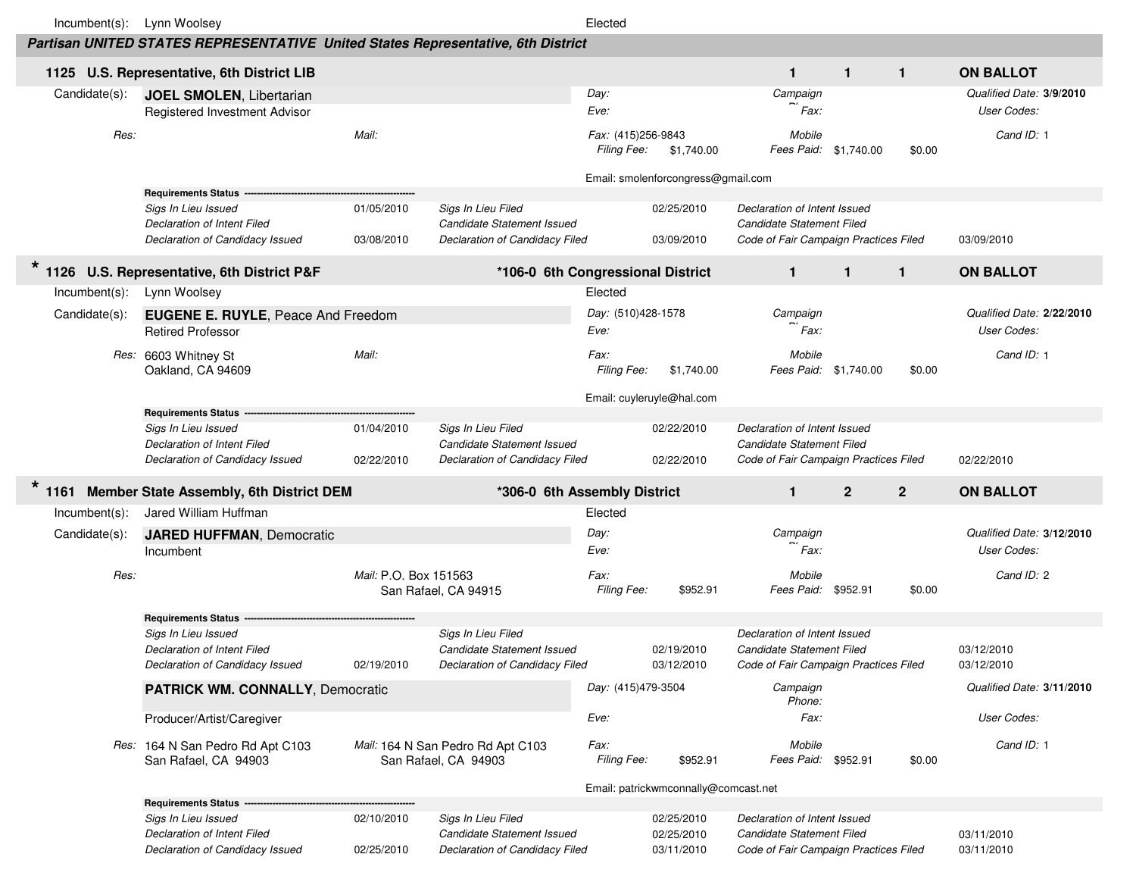| $Incumbent(s)$ : | Lynn Woolsey                                                                          |                          |                                                                                    | Elected                           |                                        |                                                                                                    |              |              |                                          |
|------------------|---------------------------------------------------------------------------------------|--------------------------|------------------------------------------------------------------------------------|-----------------------------------|----------------------------------------|----------------------------------------------------------------------------------------------------|--------------|--------------|------------------------------------------|
|                  | Partisan UNITED STATES REPRESENTATIVE United States Representative, 6th District      |                          |                                                                                    |                                   |                                        |                                                                                                    |              |              |                                          |
|                  | 1125 U.S. Representative, 6th District LIB                                            |                          |                                                                                    |                                   |                                        | $\mathbf{1}$                                                                                       | $\mathbf{1}$ | $\mathbf{1}$ | <b>ON BALLOT</b>                         |
| Candidate(s):    | <b>JOEL SMOLEN, Libertarian</b><br>Registered Investment Advisor                      |                          |                                                                                    | Day:<br>Eve:                      |                                        | Campaign<br>Fax:                                                                                   |              |              | Qualified Date: 3/9/2010<br>User Codes:  |
| Res:             |                                                                                       | Mail:                    |                                                                                    | Fax: (415)256-9843<br>Filing Fee: | \$1,740.00                             | Mobile<br>Fees Paid: \$1,740.00                                                                    |              | \$0.00       | Cand ID: 1                               |
|                  |                                                                                       |                          |                                                                                    |                                   | Email: smolenforcongress@gmail.com     |                                                                                                    |              |              |                                          |
|                  | <b>Requirements Status</b>                                                            |                          |                                                                                    |                                   |                                        |                                                                                                    |              |              |                                          |
|                  | Sigs In Lieu Issued                                                                   | 01/05/2010               | Sigs In Lieu Filed                                                                 |                                   | 02/25/2010                             | Declaration of Intent Issued                                                                       |              |              |                                          |
|                  | Declaration of Intent Filed<br>Declaration of Candidacy Issued                        | 03/08/2010               | Candidate Statement Issued<br>Declaration of Candidacy Filed                       |                                   | 03/09/2010                             | Candidate Statement Filed<br>Code of Fair Campaign Practices Filed                                 |              |              | 03/09/2010                               |
|                  | 1126 U.S. Representative, 6th District P&F                                            |                          | *106-0 6th Congressional District                                                  |                                   |                                        | $\mathbf{1}$                                                                                       | $\mathbf{1}$ | $\mathbf{1}$ | <b>ON BALLOT</b>                         |
| $Incumbent(s)$ : | Lynn Woolsey                                                                          |                          |                                                                                    | Elected                           |                                        |                                                                                                    |              |              |                                          |
| Candidate(s):    | <b>EUGENE E. RUYLE, Peace And Freedom</b><br><b>Retired Professor</b>                 |                          |                                                                                    | Day: (510)428-1578<br>Eve:        |                                        | Campaign<br>Fax:                                                                                   |              |              | Qualified Date: 2/22/2010<br>User Codes: |
|                  | Res: 6603 Whitney St                                                                  | Mail:                    |                                                                                    | Fax:<br>Filing Fee:               | \$1,740.00                             | Mobile<br>Fees Paid: \$1,740.00                                                                    |              |              | Cand ID: 1                               |
|                  | Oakland, CA 94609                                                                     |                          |                                                                                    |                                   | Email: cuyleruyle@hal.com              |                                                                                                    |              | \$0.00       |                                          |
|                  | <b>Requirements Status</b>                                                            |                          |                                                                                    |                                   |                                        |                                                                                                    |              |              |                                          |
|                  | Sigs In Lieu Issued                                                                   | 01/04/2010               | Sigs In Lieu Filed                                                                 |                                   | 02/22/2010                             | Declaration of Intent Issued                                                                       |              |              |                                          |
|                  | Declaration of Intent Filed<br>Declaration of Candidacy Issued                        | 02/22/2010               | Candidate Statement Issued<br>Declaration of Candidacy Filed                       |                                   | 02/22/2010                             | Candidate Statement Filed<br>Code of Fair Campaign Practices Filed                                 |              |              | 02/22/2010                               |
|                  | 1161 Member State Assembly, 6th District DEM                                          |                          | *306-0 6th Assembly District                                                       |                                   |                                        | $\mathbf{1}$                                                                                       | $\mathbf{2}$ | $\mathbf{2}$ | <b>ON BALLOT</b>                         |
| $Incumbent(s)$ : |                                                                                       |                          |                                                                                    | Elected                           |                                        |                                                                                                    |              |              |                                          |
|                  | Jared William Huffman                                                                 |                          |                                                                                    |                                   |                                        |                                                                                                    |              |              |                                          |
| Candidate(s):    | <b>JARED HUFFMAN, Democratic</b>                                                      |                          |                                                                                    | Day:                              |                                        | Campaign                                                                                           |              |              | Qualified Date: 3/12/2010                |
|                  | Incumbent                                                                             |                          |                                                                                    | Eve:                              |                                        | Fax:                                                                                               |              |              | User Codes:                              |
| Res:             |                                                                                       | Mail: P.O. Box 151563    | San Rafael, CA 94915                                                               | Fax:<br>Filing Fee:               | \$952.91                               | Mobile<br>Fees Paid: \$952.91                                                                      |              | \$0.00       | Cand ID: 2                               |
|                  | <b>Requirements Status</b>                                                            |                          |                                                                                    |                                   |                                        |                                                                                                    |              |              |                                          |
|                  | Sigs In Lieu Issued                                                                   |                          | Sigs In Lieu Filed                                                                 |                                   |                                        | Declaration of Intent Issued                                                                       |              |              |                                          |
|                  | Declaration of Intent Filed                                                           |                          | Candidate Statement Issued                                                         |                                   | 02/19/2010                             | Candidate Statement Filed                                                                          |              |              | 03/12/2010                               |
|                  | Declaration of Candidacy Issued                                                       | 02/19/2010               | Declaration of Candidacy Filed                                                     |                                   | 03/12/2010                             | Code of Fair Campaign Practices Filed                                                              |              |              | 03/12/2010                               |
|                  | <b>PATRICK WM. CONNALLY, Democratic</b>                                               |                          |                                                                                    | Day: (415)479-3504                |                                        | Campaign<br>Phone:                                                                                 |              |              | Qualified Date: 3/11/2010                |
|                  | Producer/Artist/Caregiver                                                             |                          |                                                                                    | Eve:                              |                                        | Fax:                                                                                               |              |              | User Codes:                              |
|                  | Res: 164 N San Pedro Rd Apt C103<br>San Rafael, CA 94903                              |                          | Mail: 164 N San Pedro Rd Apt C103<br>San Rafael, CA 94903                          | Fax:<br>Filing Fee:               | \$952.91                               | Mobile<br>Fees Paid: \$952.91                                                                      |              | \$0.00       | Cand ID: 1                               |
|                  |                                                                                       |                          |                                                                                    |                                   |                                        |                                                                                                    |              |              |                                          |
|                  | <b>Requirements Status -</b>                                                          |                          |                                                                                    |                                   | Email: patrickwmconnally@comcast.net   |                                                                                                    |              |              |                                          |
|                  | Sigs In Lieu Issued<br>Declaration of Intent Filed<br>Declaration of Candidacy Issued | 02/10/2010<br>02/25/2010 | Sigs In Lieu Filed<br>Candidate Statement Issued<br>Declaration of Candidacy Filed |                                   | 02/25/2010<br>02/25/2010<br>03/11/2010 | Declaration of Intent Issued<br>Candidate Statement Filed<br>Code of Fair Campaign Practices Filed |              |              | 03/11/2010<br>03/11/2010                 |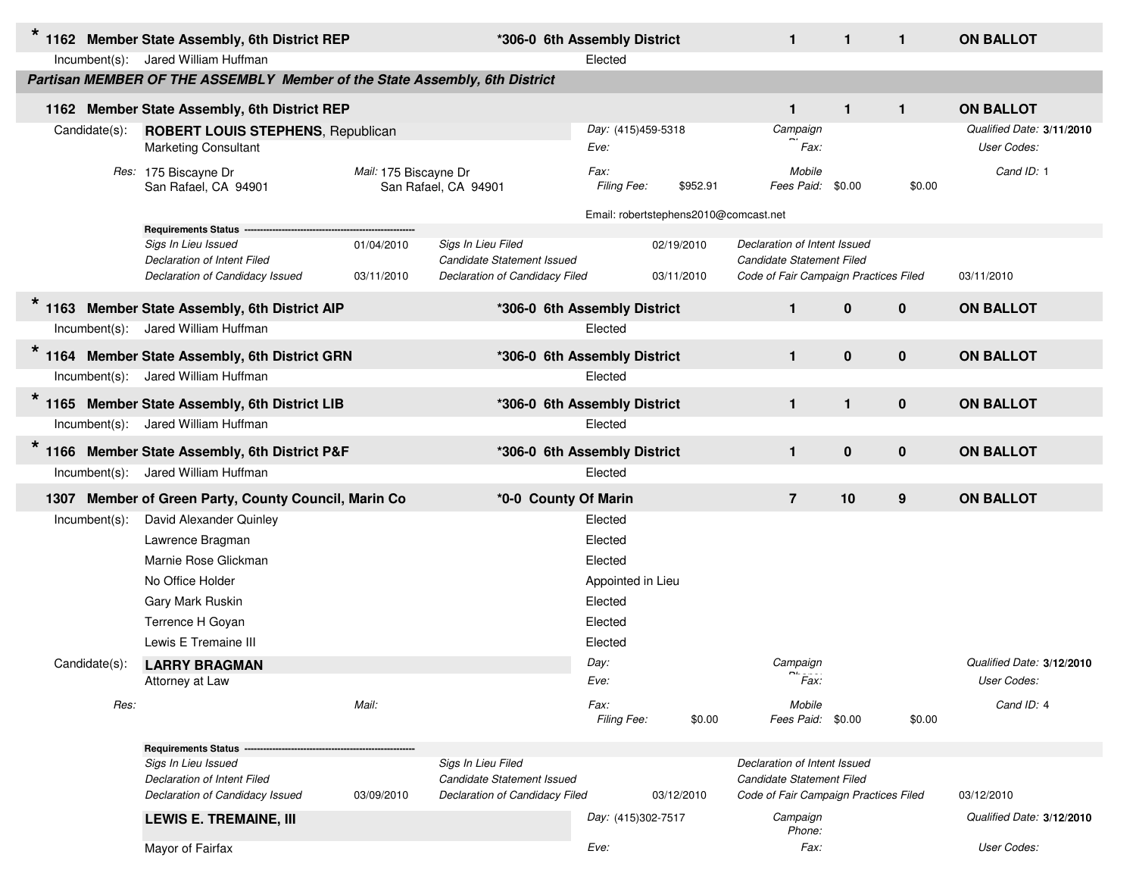| $\star$         |                  | 1162 Member State Assembly, 6th District REP                                                                        |                          | *306-0 6th Assembly District                                                       |                            |                                       | $\mathbf 1$                                                                                        | $\mathbf{1}$ | $\mathbf{1}$ | <b>ON BALLOT</b>                         |
|-----------------|------------------|---------------------------------------------------------------------------------------------------------------------|--------------------------|------------------------------------------------------------------------------------|----------------------------|---------------------------------------|----------------------------------------------------------------------------------------------------|--------------|--------------|------------------------------------------|
|                 |                  | Incumbent(s): Jared William Huffman                                                                                 |                          |                                                                                    | Elected                    |                                       |                                                                                                    |              |              |                                          |
|                 |                  | Partisan MEMBER OF THE ASSEMBLY Member of the State Assembly, 6th District                                          |                          |                                                                                    |                            |                                       |                                                                                                    |              |              |                                          |
|                 |                  | 1162 Member State Assembly, 6th District REP                                                                        |                          |                                                                                    |                            |                                       | $\mathbf{1}$                                                                                       | $\mathbf{1}$ | $\mathbf{1}$ | <b>ON BALLOT</b>                         |
|                 | Candidate(s):    | <b>ROBERT LOUIS STEPHENS, Republican</b><br><b>Marketing Consultant</b>                                             |                          |                                                                                    | Day: (415)459-5318<br>Eve: |                                       | Campaign<br>Fax:                                                                                   |              |              | Qualified Date: 3/11/2010<br>User Codes: |
|                 |                  | Res: 175 Biscayne Dr<br>San Rafael, CA 94901                                                                        | Mail: 175 Biscayne Dr    | San Rafael, CA 94901                                                               | Fax:<br>Filing Fee:        | \$952.91                              | Mobile<br>Fees Paid: \$0.00                                                                        |              | \$0.00       | Cand ID: 1                               |
|                 |                  |                                                                                                                     |                          |                                                                                    |                            | Email: robertstephens2010@comcast.net |                                                                                                    |              |              |                                          |
|                 |                  | <b>Requirements Status</b><br>Sigs In Lieu Issued<br>Declaration of Intent Filed<br>Declaration of Candidacy Issued | 01/04/2010<br>03/11/2010 | Sigs In Lieu Filed<br>Candidate Statement Issued<br>Declaration of Candidacy Filed |                            | 02/19/2010<br>03/11/2010              | Declaration of Intent Issued<br>Candidate Statement Filed<br>Code of Fair Campaign Practices Filed |              |              | 03/11/2010                               |
|                 |                  | 1163 Member State Assembly, 6th District AIP                                                                        |                          | *306-0 6th Assembly District                                                       |                            |                                       | $\mathbf{1}$                                                                                       | $\bf{0}$     | $\bf{0}$     | <b>ON BALLOT</b>                         |
|                 |                  | Incumbent(s): Jared William Huffman                                                                                 |                          |                                                                                    | Elected                    |                                       |                                                                                                    |              |              |                                          |
| $\star$<br>1164 |                  | Member State Assembly, 6th District GRN                                                                             |                          | *306-0 6th Assembly District                                                       |                            |                                       | $\mathbf{1}$                                                                                       | $\mathbf{0}$ | $\bf{0}$     | <b>ON BALLOT</b>                         |
|                 |                  | Incumbent(s): Jared William Huffman                                                                                 |                          |                                                                                    | Elected                    |                                       |                                                                                                    |              |              |                                          |
| $\star$<br>1165 |                  | Member State Assembly, 6th District LIB                                                                             |                          | *306-0 6th Assembly District                                                       |                            |                                       | $\mathbf{1}$                                                                                       | $\mathbf{1}$ | $\bf{0}$     | <b>ON BALLOT</b>                         |
|                 |                  | Incumbent(s): Jared William Huffman                                                                                 |                          |                                                                                    | Elected                    |                                       |                                                                                                    |              |              |                                          |
| $\star$<br>1166 |                  | Member State Assembly, 6th District P&F                                                                             |                          | *306-0 6th Assembly District                                                       |                            |                                       | $\mathbf{1}$                                                                                       | $\mathbf 0$  | $\bf{0}$     | <b>ON BALLOT</b>                         |
|                 |                  | Incumbent(s): Jared William Huffman                                                                                 |                          |                                                                                    | Elected                    |                                       |                                                                                                    |              |              |                                          |
| 1307            |                  | Member of Green Party, County Council, Marin Co                                                                     |                          | *0-0 County Of Marin                                                               |                            |                                       | $\overline{7}$                                                                                     | 10           | 9            | <b>ON BALLOT</b>                         |
|                 | $Incumbent(s)$ : | David Alexander Quinley                                                                                             |                          |                                                                                    | Elected                    |                                       |                                                                                                    |              |              |                                          |
|                 |                  | Lawrence Bragman                                                                                                    |                          |                                                                                    | Elected                    |                                       |                                                                                                    |              |              |                                          |
|                 |                  | Marnie Rose Glickman                                                                                                |                          |                                                                                    | Elected                    |                                       |                                                                                                    |              |              |                                          |
|                 |                  | No Office Holder                                                                                                    |                          |                                                                                    | Appointed in Lieu          |                                       |                                                                                                    |              |              |                                          |
|                 |                  | Gary Mark Ruskin                                                                                                    |                          |                                                                                    | Elected                    |                                       |                                                                                                    |              |              |                                          |
|                 |                  | Terrence H Goyan                                                                                                    |                          |                                                                                    | Elected                    |                                       |                                                                                                    |              |              |                                          |
|                 |                  | Lewis E Tremaine III                                                                                                |                          |                                                                                    | Elected                    |                                       |                                                                                                    |              |              |                                          |
|                 | Candidate(s):    | <b>LARRY BRAGMAN</b>                                                                                                |                          |                                                                                    | Day:                       |                                       | Campaign<br>$\overline{\phantom{a}}$                                                               |              |              | Qualified Date: 3/12/2010                |
|                 |                  | Attorney at Law                                                                                                     |                          |                                                                                    | Eve:                       |                                       | Fax:                                                                                               |              |              | User Codes:                              |
|                 | Res:             |                                                                                                                     | Mail:                    |                                                                                    | Fax:<br>Filing Fee:        | \$0.00                                | Mobile<br>Fees Paid: \$0.00                                                                        |              | \$0.00       | Cand ID: 4                               |
|                 |                  | Requirements Status -                                                                                               |                          |                                                                                    |                            |                                       |                                                                                                    |              |              |                                          |
|                 |                  | Sigs In Lieu Issued                                                                                                 |                          | Sigs In Lieu Filed                                                                 |                            |                                       | Declaration of Intent Issued                                                                       |              |              |                                          |
|                 |                  | Declaration of Intent Filed<br>Declaration of Candidacy Issued                                                      | 03/09/2010               | Candidate Statement Issued<br>Declaration of Candidacy Filed                       |                            | 03/12/2010                            | Candidate Statement Filed<br>Code of Fair Campaign Practices Filed                                 |              |              | 03/12/2010                               |
|                 |                  |                                                                                                                     |                          |                                                                                    |                            |                                       |                                                                                                    |              |              |                                          |
|                 |                  | <b>LEWIS E. TREMAINE, III</b>                                                                                       |                          |                                                                                    | Day: (415)302-7517         |                                       | Campaign<br>Phone:                                                                                 |              |              | Qualified Date: 3/12/2010                |
|                 |                  | Mayor of Fairfax                                                                                                    |                          |                                                                                    | Eve:                       |                                       | Fax:                                                                                               |              |              | User Codes:                              |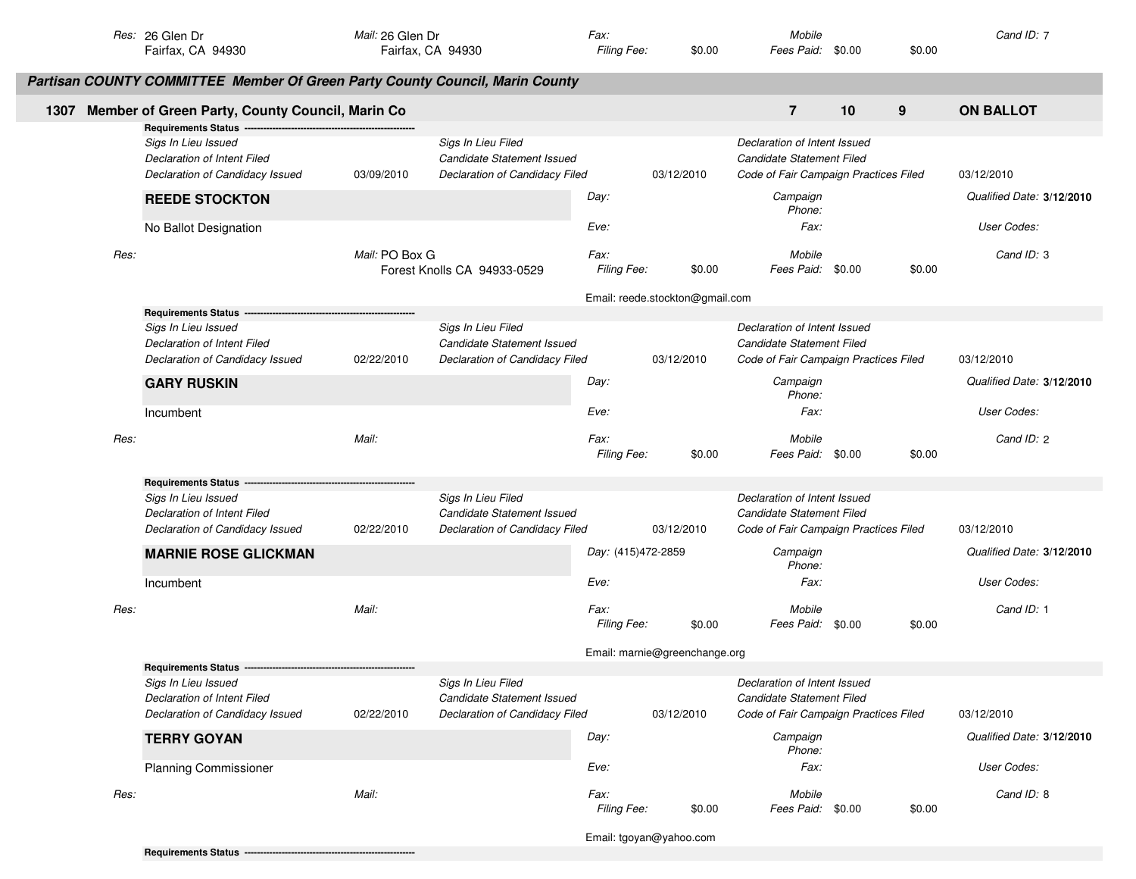|      | Res: 26 Glen Dr<br>Fairfax, CA 94930                                                                                | Mail: 26 Glen Dr<br>Fairfax, CA 94930 |                                                                                    | Fax:<br>Filing Fee:        | \$0.00                          | Mobile<br>Fees Paid: \$0.00                                                                        |        | \$0.00 | Cand ID: 7                |
|------|---------------------------------------------------------------------------------------------------------------------|---------------------------------------|------------------------------------------------------------------------------------|----------------------------|---------------------------------|----------------------------------------------------------------------------------------------------|--------|--------|---------------------------|
|      | Partisan COUNTY COMMITTEE Member Of Green Party County Council, Marin County                                        |                                       |                                                                                    |                            |                                 |                                                                                                    |        |        |                           |
|      | 1307 Member of Green Party, County Council, Marin Co<br>Requirements Status ---                                     |                                       |                                                                                    |                            |                                 | $\overline{7}$                                                                                     | 10     | 9      | <b>ON BALLOT</b>          |
|      | Sigs In Lieu Issued<br>Declaration of Intent Filed<br>Declaration of Candidacy Issued                               | 03/09/2010                            | Sigs In Lieu Filed<br>Candidate Statement Issued<br>Declaration of Candidacy Filed |                            | 03/12/2010                      | Declaration of Intent Issued<br>Candidate Statement Filed<br>Code of Fair Campaign Practices Filed |        |        | 03/12/2010                |
|      | <b>REEDE STOCKTON</b>                                                                                               |                                       |                                                                                    | Day:                       |                                 | Campaign<br>Phone:                                                                                 |        |        | Qualified Date: 3/12/2010 |
|      | No Ballot Designation                                                                                               |                                       |                                                                                    | Eve:                       |                                 | Fax:                                                                                               |        |        | User Codes:               |
| Res: |                                                                                                                     | Mail: PO Box G                        | Forest Knolls CA 94933-0529                                                        | Fax:<br>Filing Fee:        | \$0.00                          | Mobile<br>Fees Paid: \$0.00                                                                        |        | \$0.00 | Cand ID: 3                |
|      |                                                                                                                     |                                       |                                                                                    |                            | Email: reede.stockton@gmail.com |                                                                                                    |        |        |                           |
|      | <b>Requirements Status</b><br>Sigs In Lieu Issued<br>Declaration of Intent Filed<br>Declaration of Candidacy Issued | 02/22/2010                            | Sigs In Lieu Filed<br>Candidate Statement Issued<br>Declaration of Candidacy Filed |                            | 03/12/2010                      | Declaration of Intent Issued<br>Candidate Statement Filed<br>Code of Fair Campaign Practices Filed |        |        | 03/12/2010                |
|      | <b>GARY RUSKIN</b>                                                                                                  |                                       |                                                                                    | Day:                       |                                 | Campaign<br>Phone:                                                                                 |        |        | Qualified Date: 3/12/2010 |
|      | Incumbent                                                                                                           |                                       |                                                                                    | Eve:                       |                                 | Fax:                                                                                               |        |        | User Codes:               |
| Res: |                                                                                                                     | Mail:                                 |                                                                                    | Fax:<br>Filing Fee:        | \$0.00                          | Mobile<br>Fees Paid: \$0.00                                                                        |        | \$0.00 | Cand ID: 2                |
|      | <b>Requirements Status</b>                                                                                          |                                       |                                                                                    |                            |                                 |                                                                                                    |        |        |                           |
|      | Sigs In Lieu Issued<br>Declaration of Intent Filed<br>Declaration of Candidacy Issued                               | 02/22/2010                            | Sigs In Lieu Filed<br>Candidate Statement Issued<br>Declaration of Candidacy Filed |                            | 03/12/2010                      | Declaration of Intent Issued<br>Candidate Statement Filed<br>Code of Fair Campaign Practices Filed |        |        | 03/12/2010                |
|      | <b>MARNIE ROSE GLICKMAN</b>                                                                                         |                                       |                                                                                    | Day: (415)472-2859         |                                 | Campaign<br>Phone:                                                                                 |        |        | Qualified Date: 3/12/2010 |
|      | Incumbent                                                                                                           |                                       |                                                                                    | Eve:                       |                                 | Fax:                                                                                               |        |        | User Codes:               |
| Res: |                                                                                                                     | Mail:                                 |                                                                                    | Fax:<br>Filing Fee:        | \$0.00                          | Mobile<br>Fees Paid:                                                                               | \$0.00 | \$0.00 | Cand ID: 1                |
|      |                                                                                                                     |                                       |                                                                                    |                            | Email: marnie@greenchange.org   |                                                                                                    |        |        |                           |
|      | <b>Requirements Status</b>                                                                                          |                                       |                                                                                    |                            |                                 |                                                                                                    |        |        |                           |
|      | Sigs In Lieu Issued<br>Declaration of Intent Filed<br>Declaration of Candidacy Issued                               | 02/22/2010                            | Sigs In Lieu Filed<br>Candidate Statement Issued<br>Declaration of Candidacy Filed |                            | 03/12/2010                      | Declaration of Intent Issued<br>Candidate Statement Filed<br>Code of Fair Campaign Practices Filed |        |        | 03/12/2010                |
|      | <b>TERRY GOYAN</b>                                                                                                  |                                       |                                                                                    | Day:                       |                                 | Campaign<br>Phone:                                                                                 |        |        | Qualified Date: 3/12/2010 |
|      | <b>Planning Commissioner</b>                                                                                        |                                       |                                                                                    | Eve:                       |                                 | Fax:                                                                                               |        |        | User Codes:               |
| Res: |                                                                                                                     | Mail:                                 |                                                                                    | Fax:<br><b>Filing Fee:</b> | \$0.00                          | Mobile<br>Fees Paid: \$0.00                                                                        |        | \$0.00 | Cand ID: 8                |
|      |                                                                                                                     |                                       |                                                                                    |                            | Email: tgoyan@yahoo.com         |                                                                                                    |        |        |                           |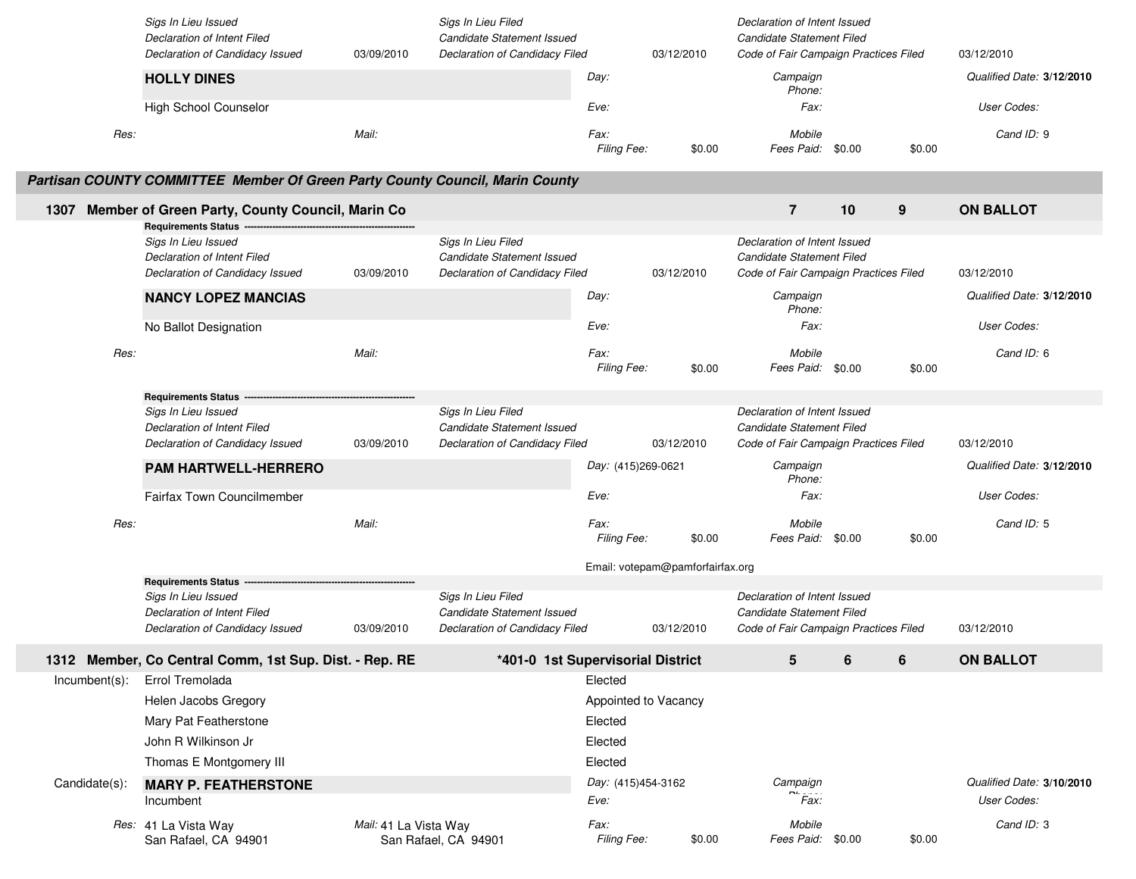|               | Sigs In Lieu Issued<br>Declaration of Intent Filed<br>Declaration of Candidacy Issued                                  | 03/09/2010            | Sigs In Lieu Filed<br>Candidate Statement Issued<br>Declaration of Candidacy Filed |                            | 03/12/2010                       | Declaration of Intent Issued<br>Candidate Statement Filed<br>Code of Fair Campaign Practices Filed |        |        | 03/12/2010                               |
|---------------|------------------------------------------------------------------------------------------------------------------------|-----------------------|------------------------------------------------------------------------------------|----------------------------|----------------------------------|----------------------------------------------------------------------------------------------------|--------|--------|------------------------------------------|
|               | <b>HOLLY DINES</b>                                                                                                     |                       |                                                                                    | Day:                       |                                  | Campaign<br>Phone:                                                                                 |        |        | Qualified Date: 3/12/2010                |
|               | High School Counselor                                                                                                  |                       |                                                                                    | Eve:                       |                                  | Fax:                                                                                               |        |        | User Codes:                              |
| Res:          |                                                                                                                        | Mail:                 |                                                                                    | Fax:<br>Filing Fee:        | \$0.00                           | Mobile<br>Fees Paid:                                                                               | \$0.00 | \$0.00 | Cand ID: 9                               |
|               | Partisan COUNTY COMMITTEE Member Of Green Party County Council, Marin County                                           |                       |                                                                                    |                            |                                  |                                                                                                    |        |        |                                          |
| 1307          | Member of Green Party, County Council, Marin Co                                                                        |                       |                                                                                    |                            |                                  | $\overline{7}$                                                                                     | 10     | 9      | <b>ON BALLOT</b>                         |
|               | <b>Requirements Status --</b><br>Sigs In Lieu Issued<br>Declaration of Intent Filed<br>Declaration of Candidacy Issued | 03/09/2010            | Sigs In Lieu Filed<br>Candidate Statement Issued<br>Declaration of Candidacy Filed |                            | 03/12/2010                       | Declaration of Intent Issued<br>Candidate Statement Filed<br>Code of Fair Campaign Practices Filed |        |        | 03/12/2010                               |
|               | <b>NANCY LOPEZ MANCIAS</b>                                                                                             |                       |                                                                                    | Day:                       |                                  | Campaign<br>Phone:                                                                                 |        |        | Qualified Date: 3/12/2010                |
|               | No Ballot Designation                                                                                                  |                       |                                                                                    | Eve:                       |                                  | Fax:                                                                                               |        |        | User Codes:                              |
| Res:          |                                                                                                                        | Mail:                 |                                                                                    | Fax:<br>Filing Fee:        | \$0.00                           | Mobile<br>Fees Paid: \$0.00                                                                        |        | \$0.00 | Cand ID: 6                               |
|               | <b>Requirements Status</b>                                                                                             |                       |                                                                                    |                            |                                  |                                                                                                    |        |        |                                          |
|               | Sigs In Lieu Issued                                                                                                    |                       | Sigs In Lieu Filed                                                                 |                            |                                  | Declaration of Intent Issued                                                                       |        |        |                                          |
|               | Declaration of Intent Filed<br>Declaration of Candidacy Issued                                                         | 03/09/2010            | Candidate Statement Issued<br>Declaration of Candidacy Filed                       |                            | 03/12/2010                       | Candidate Statement Filed<br>Code of Fair Campaign Practices Filed                                 |        |        | 03/12/2010                               |
|               |                                                                                                                        |                       |                                                                                    | Day: (415)269-0621         |                                  | Campaign                                                                                           |        |        | Qualified Date: 3/12/2010                |
|               | <b>PAM HARTWELL-HERRERO</b>                                                                                            |                       |                                                                                    |                            |                                  | Phone:                                                                                             |        |        |                                          |
|               | <b>Fairfax Town Councilmember</b>                                                                                      |                       |                                                                                    | Eve:                       |                                  | Fax:                                                                                               |        |        | User Codes:                              |
| Res:          |                                                                                                                        | Mail:                 |                                                                                    | Fax:<br>Filing Fee:        | \$0.00                           | Mobile<br>Fees Paid: \$0.00                                                                        |        | \$0.00 | Cand ID: 5                               |
|               |                                                                                                                        |                       |                                                                                    |                            | Email: votepam@pamforfairfax.org |                                                                                                    |        |        |                                          |
|               | <b>Requirements Status</b>                                                                                             |                       |                                                                                    |                            |                                  |                                                                                                    |        |        |                                          |
|               | Sigs In Lieu Issued<br>Declaration of Intent Filed<br>Declaration of Candidacy Issued                                  | 03/09/2010            | Sigs In Lieu Filed<br>Candidate Statement Issued<br>Declaration of Candidacy Filed |                            | 03/12/2010                       | Declaration of Intent Issued<br>Candidate Statement Filed<br>Code of Fair Campaign Practices Filed |        |        | 03/12/2010                               |
|               | 1312 Member, Co Central Comm, 1st Sup. Dist. - Rep. RE                                                                 |                       | *401-0 1st Supervisorial District                                                  |                            |                                  | 5                                                                                                  | 6      | 6      | <b>ON BALLOT</b>                         |
| Incumbent(s): | Errol Tremolada                                                                                                        |                       |                                                                                    | Elected                    |                                  |                                                                                                    |        |        |                                          |
|               | Helen Jacobs Gregory                                                                                                   |                       |                                                                                    | Appointed to Vacancy       |                                  |                                                                                                    |        |        |                                          |
|               | Mary Pat Featherstone                                                                                                  |                       |                                                                                    | Elected                    |                                  |                                                                                                    |        |        |                                          |
|               | John R Wilkinson Jr                                                                                                    |                       |                                                                                    | Elected                    |                                  |                                                                                                    |        |        |                                          |
|               | Thomas E Montgomery III                                                                                                |                       |                                                                                    | Elected                    |                                  |                                                                                                    |        |        |                                          |
| Candidate(s): | <b>MARY P. FEATHERSTONE</b><br>Incumbent                                                                               |                       |                                                                                    | Day: (415)454-3162<br>Eve: |                                  | Campaign<br>$"$ Fax:                                                                               |        |        | Qualified Date: 3/10/2010<br>User Codes: |
|               | Res: 41 La Vista Way<br>San Rafael, CA 94901                                                                           | Mail: 41 La Vista Way | San Rafael, CA 94901                                                               | Fax:<br>Filing Fee:        | \$0.00                           | Mobile<br>Fees Paid: \$0.00                                                                        |        | \$0.00 | Cand ID: 3                               |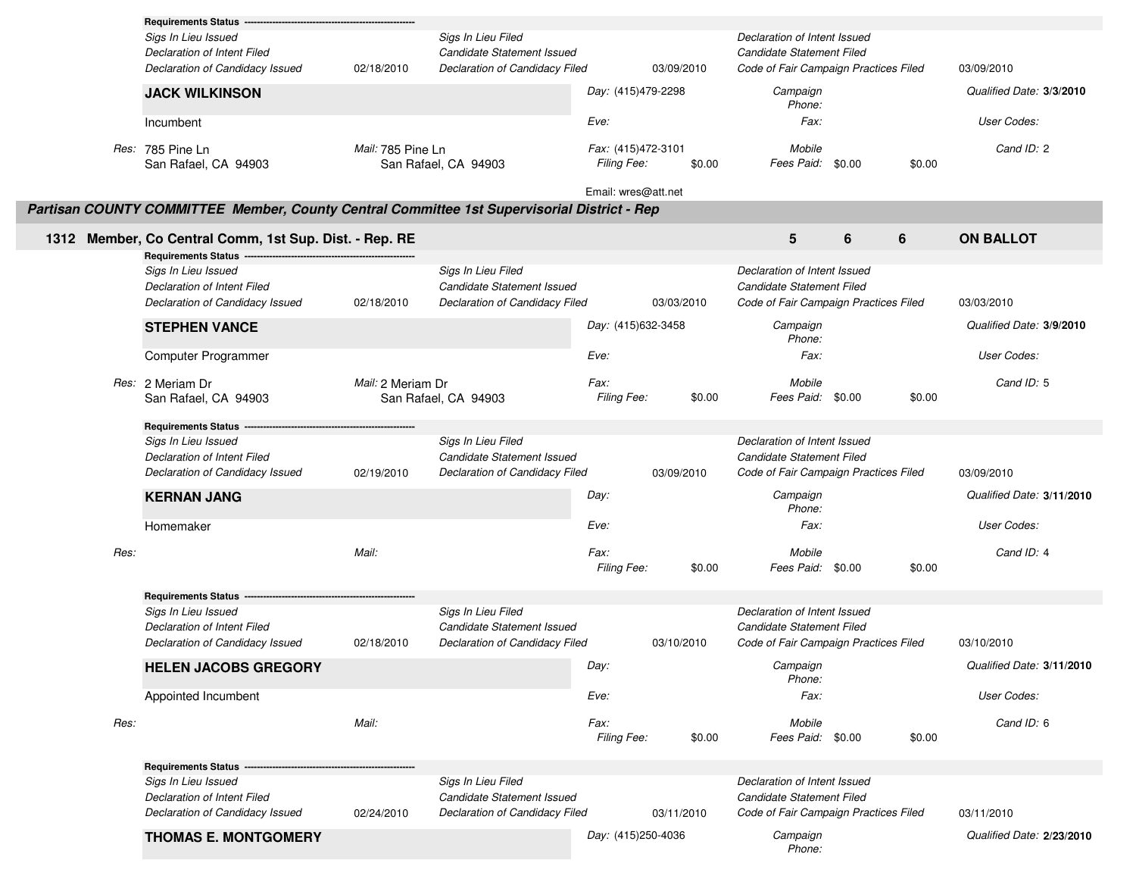|      | <b>Requirements Status</b>                                                                  |                   |                                                  |                     |            |                                                           |        |                           |
|------|---------------------------------------------------------------------------------------------|-------------------|--------------------------------------------------|---------------------|------------|-----------------------------------------------------------|--------|---------------------------|
|      | Sigs In Lieu Issued                                                                         |                   | Sigs In Lieu Filed                               |                     |            | Declaration of Intent Issued                              |        |                           |
|      | <b>Declaration of Intent Filed</b>                                                          |                   | <b>Candidate Statement Issued</b>                |                     |            | Candidate Statement Filed                                 |        |                           |
|      | Declaration of Candidacy Issued                                                             | 02/18/2010        | Declaration of Candidacy Filed                   |                     | 03/09/2010 | Code of Fair Campaign Practices Filed                     |        | 03/09/2010                |
|      | <b>JACK WILKINSON</b>                                                                       |                   |                                                  | Day: (415)479-2298  |            | Campaign<br>Phone:                                        |        | Qualified Date: 3/3/2010  |
|      | Incumbent                                                                                   |                   |                                                  | Eve:                |            | Fax:                                                      |        | User Codes:               |
|      | Res: 785 Pine Ln                                                                            | Mail: 785 Pine Ln |                                                  | Fax: (415)472-3101  |            | Mobile                                                    |        | Cand ID: 2                |
|      | San Rafael, CA 94903                                                                        |                   | San Rafael, CA 94903                             | Filing Fee:         | \$0.00     | Fees Paid: \$0.00                                         |        | \$0.00                    |
|      | Partisan COUNTY COMMITTEE Member, County Central Committee 1st Supervisorial District - Rep |                   |                                                  | Email: wres@att.net |            |                                                           |        |                           |
|      | 1312 Member, Co Central Comm, 1st Sup. Dist. - Rep. RE                                      |                   |                                                  |                     |            | $5\phantom{1}$                                            | 6<br>6 | <b>ON BALLOT</b>          |
|      | <b>Requirements Status</b>                                                                  |                   |                                                  |                     |            |                                                           |        |                           |
|      | Sigs In Lieu Issued<br>Declaration of Intent Filed                                          |                   | Sigs In Lieu Filed<br>Candidate Statement Issued |                     |            | Declaration of Intent Issued<br>Candidate Statement Filed |        |                           |
|      | Declaration of Candidacy Issued                                                             | 02/18/2010        | Declaration of Candidacy Filed                   |                     | 03/03/2010 | Code of Fair Campaign Practices Filed                     |        | 03/03/2010                |
|      | <b>STEPHEN VANCE</b>                                                                        |                   |                                                  | Day: (415)632-3458  |            | Campaign<br>Phone:                                        |        | Qualified Date: 3/9/2010  |
|      | Computer Programmer                                                                         |                   |                                                  | Eve:                |            | Fax:                                                      |        | User Codes:               |
|      | Res: 2 Meriam Dr<br>San Rafael, CA 94903                                                    | Mail: 2 Meriam Dr | San Rafael, CA 94903                             | Fax:<br>Filing Fee: | \$0.00     | Mobile<br>Fees Paid: \$0.00                               |        | Cand ID: 5<br>\$0.00      |
|      | <b>Requirements Status</b>                                                                  |                   |                                                  |                     |            |                                                           |        |                           |
|      | Sigs In Lieu Issued                                                                         |                   | Sigs In Lieu Filed                               |                     |            | Declaration of Intent Issued                              |        |                           |
|      | Declaration of Intent Filed                                                                 |                   | Candidate Statement Issued                       |                     |            | Candidate Statement Filed                                 |        |                           |
|      | Declaration of Candidacy Issued                                                             | 02/19/2010        | Declaration of Candidacy Filed                   |                     | 03/09/2010 | Code of Fair Campaign Practices Filed                     |        | 03/09/2010                |
|      | <b>KERNAN JANG</b>                                                                          |                   |                                                  | Day:                |            | Campaign<br>Phone:                                        |        | Qualified Date: 3/11/2010 |
|      | Homemaker                                                                                   |                   |                                                  | Eve:                |            | Fax:                                                      |        | User Codes:               |
| Res: |                                                                                             | Mail:             |                                                  | Fax:<br>Filing Fee: | \$0.00     | Mobile<br>Fees Paid: \$0.00                               |        | Cand ID: 4<br>\$0.00      |
|      | <b>Requirements Status</b>                                                                  |                   |                                                  |                     |            |                                                           |        |                           |
|      | Sigs In Lieu Issued                                                                         |                   | Sigs In Lieu Filed                               |                     |            | Declaration of Intent Issued                              |        |                           |
|      | Declaration of Intent Filed                                                                 |                   | Candidate Statement Issued                       |                     |            | Candidate Statement Filed                                 |        |                           |
|      | Declaration of Candidacy Issued                                                             | 02/18/2010        | Declaration of Candidacy Filed                   |                     | 03/10/2010 | Code of Fair Campaign Practices Filed                     |        | 03/10/2010                |
|      | <b>HELEN JACOBS GREGORY</b>                                                                 |                   |                                                  | Day:                |            | Campaign<br>Phone:                                        |        | Qualified Date: 3/11/2010 |
|      | Appointed Incumbent                                                                         |                   |                                                  | Eve:                |            | Fax:                                                      |        | User Codes:               |
| Res: |                                                                                             | Mail:             |                                                  | Fax:<br>Filing Fee: | \$0.00     | Mobile<br>Fees Paid: \$0.00                               |        | Cand ID: 6<br>\$0.00      |
|      | <b>Requirements Status</b>                                                                  |                   |                                                  |                     |            |                                                           |        |                           |
|      | Sigs In Lieu Issued                                                                         |                   | Sigs In Lieu Filed                               |                     |            | Declaration of Intent Issued                              |        |                           |
|      | Declaration of Intent Filed                                                                 |                   | Candidate Statement Issued                       |                     |            | Candidate Statement Filed                                 |        |                           |
|      | Declaration of Candidacy Issued                                                             | 02/24/2010        | Declaration of Candidacy Filed                   |                     | 03/11/2010 | Code of Fair Campaign Practices Filed                     |        | 03/11/2010                |
|      | <b>THOMAS E. MONTGOMERY</b>                                                                 |                   |                                                  | Day: (415)250-4036  |            | Campaign<br>Phone:                                        |        | Qualified Date: 2/23/2010 |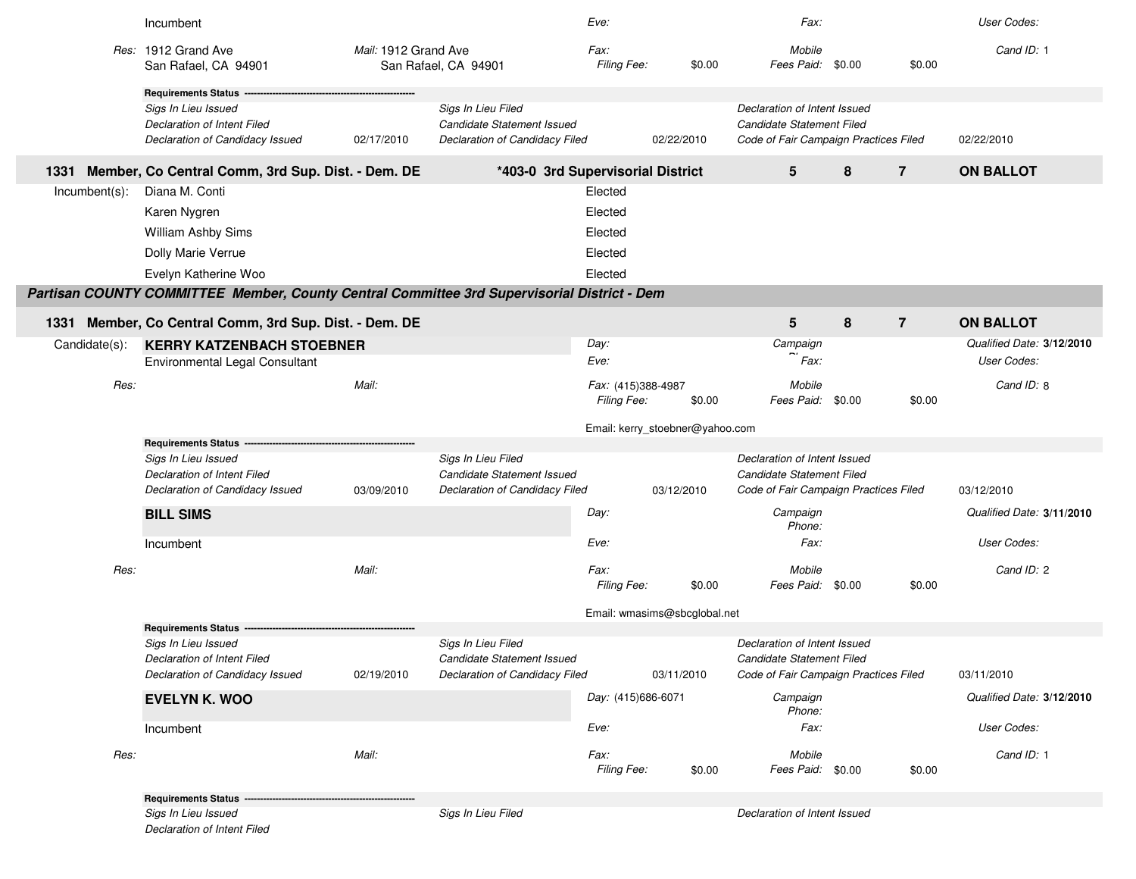|                  | Incumbent                                                                                   |                      |                                                                                           | Eve:                              |                                 | Fax:                                                                                               |        |                | User Codes:               |
|------------------|---------------------------------------------------------------------------------------------|----------------------|-------------------------------------------------------------------------------------------|-----------------------------------|---------------------------------|----------------------------------------------------------------------------------------------------|--------|----------------|---------------------------|
|                  | Res: 1912 Grand Ave<br>San Rafael, CA 94901                                                 | Mail: 1912 Grand Ave | San Rafael, CA 94901                                                                      | Fax:<br>Filing Fee:               | \$0.00                          | Mobile<br>Fees Paid:                                                                               | \$0.00 | \$0.00         | Cand ID: 1                |
|                  | <b>Requirements Status</b>                                                                  |                      |                                                                                           |                                   |                                 |                                                                                                    |        |                |                           |
|                  | Sigs In Lieu Issued                                                                         |                      | Sigs In Lieu Filed                                                                        |                                   |                                 | Declaration of Intent Issued                                                                       |        |                |                           |
|                  | Declaration of Intent Filed<br>Declaration of Candidacy Issued                              | 02/17/2010           | <b>Candidate Statement Issued</b><br>Declaration of Candidacy Filed                       |                                   | 02/22/2010                      | Candidate Statement Filed<br>Code of Fair Campaign Practices Filed                                 |        |                | 02/22/2010                |
| 1331             | Member, Co Central Comm, 3rd Sup. Dist. - Dem. DE                                           |                      | *403-0 3rd Supervisorial District                                                         |                                   |                                 | 5                                                                                                  | 8      | $\overline{7}$ | <b>ON BALLOT</b>          |
| $Incumbent(s)$ : | Diana M. Conti                                                                              |                      |                                                                                           | Elected                           |                                 |                                                                                                    |        |                |                           |
|                  | Karen Nygren                                                                                |                      |                                                                                           | Elected                           |                                 |                                                                                                    |        |                |                           |
|                  | William Ashby Sims                                                                          |                      |                                                                                           | Elected                           |                                 |                                                                                                    |        |                |                           |
|                  | Dolly Marie Verrue                                                                          |                      |                                                                                           | Elected                           |                                 |                                                                                                    |        |                |                           |
|                  | Evelyn Katherine Woo                                                                        |                      |                                                                                           | Elected                           |                                 |                                                                                                    |        |                |                           |
|                  | Partisan COUNTY COMMITTEE Member, County Central Committee 3rd Supervisorial District - Dem |                      |                                                                                           |                                   |                                 |                                                                                                    |        |                |                           |
| 1331             | Member, Co Central Comm, 3rd Sup. Dist. - Dem. DE                                           |                      |                                                                                           |                                   |                                 | 5                                                                                                  | 8      | $\overline{7}$ | <b>ON BALLOT</b>          |
| Candidate(s):    | <b>KERRY KATZENBACH STOEBNER</b>                                                            |                      |                                                                                           | Day:                              |                                 | Campaign                                                                                           |        |                | Qualified Date: 3/12/2010 |
|                  | <b>Environmental Legal Consultant</b>                                                       |                      |                                                                                           | Eve:                              |                                 | Fax:                                                                                               |        |                | User Codes:               |
| Res:             |                                                                                             | Mail:                |                                                                                           | Fax: (415)388-4987<br>Filing Fee: | \$0.00                          | Mobile<br>Fees Paid:                                                                               | \$0.00 | \$0.00         | Cand ID: 8                |
|                  |                                                                                             |                      |                                                                                           |                                   | Email: kerry_stoebner@yahoo.com |                                                                                                    |        |                |                           |
|                  | <b>Requirements Status</b>                                                                  |                      |                                                                                           |                                   |                                 |                                                                                                    |        |                |                           |
|                  | Sigs In Lieu Issued<br>Declaration of Intent Filed<br>Declaration of Candidacy Issued       | 03/09/2010           | Sigs In Lieu Filed<br><b>Candidate Statement Issued</b><br>Declaration of Candidacy Filed |                                   | 03/12/2010                      | Declaration of Intent Issued<br>Candidate Statement Filed<br>Code of Fair Campaign Practices Filed |        |                | 03/12/2010                |
|                  | <b>BILL SIMS</b>                                                                            |                      |                                                                                           | Day:                              |                                 | Campaign<br>Phone:                                                                                 |        |                | Qualified Date: 3/11/2010 |
|                  | Incumbent                                                                                   |                      |                                                                                           | Eve:                              |                                 | Fax:                                                                                               |        |                | User Codes:               |
| Res:             |                                                                                             | Mail:                |                                                                                           | <i>Fax:</i><br><b>Filing Fee:</b> | \$0.00                          | Mobile<br>Fees Paid:                                                                               | \$0.00 | \$0.00         | Cand ID: 2                |
|                  |                                                                                             |                      |                                                                                           |                                   | Email: wmasims@sbcglobal.net    |                                                                                                    |        |                |                           |
|                  | <b>Requirements Status</b><br>Sigs In Lieu Issued                                           |                      | Sigs In Lieu Filed                                                                        |                                   |                                 | Declaration of Intent Issued                                                                       |        |                |                           |
|                  | Declaration of Intent Filed                                                                 |                      | Candidate Statement Issued                                                                |                                   |                                 | Candidate Statement Filed                                                                          |        |                |                           |
|                  | Declaration of Candidacy Issued                                                             | 02/19/2010           | Declaration of Candidacy Filed                                                            |                                   | 03/11/2010                      | Code of Fair Campaign Practices Filed                                                              |        |                | 03/11/2010                |
|                  | <b>EVELYN K. WOO</b>                                                                        |                      |                                                                                           | Day: (415)686-6071                |                                 | Campaign<br>Phone:                                                                                 |        |                | Qualified Date: 3/12/2010 |
|                  | Incumbent                                                                                   |                      |                                                                                           | Eve:                              |                                 | Fax:                                                                                               |        |                | User Codes:               |
| Res:             |                                                                                             | Mail:                |                                                                                           | Fax:<br>Filing Fee:               | \$0.00                          | Mobile<br>Fees Paid: \$0.00                                                                        |        | \$0.00         | Cand ID: 1                |
|                  | Requirements Status -                                                                       |                      |                                                                                           |                                   |                                 |                                                                                                    |        |                |                           |
|                  | Sigs In Lieu Issued<br><b>Declaration of Intent Filed</b>                                   |                      | Sigs In Lieu Filed                                                                        |                                   |                                 | Declaration of Intent Issued                                                                       |        |                |                           |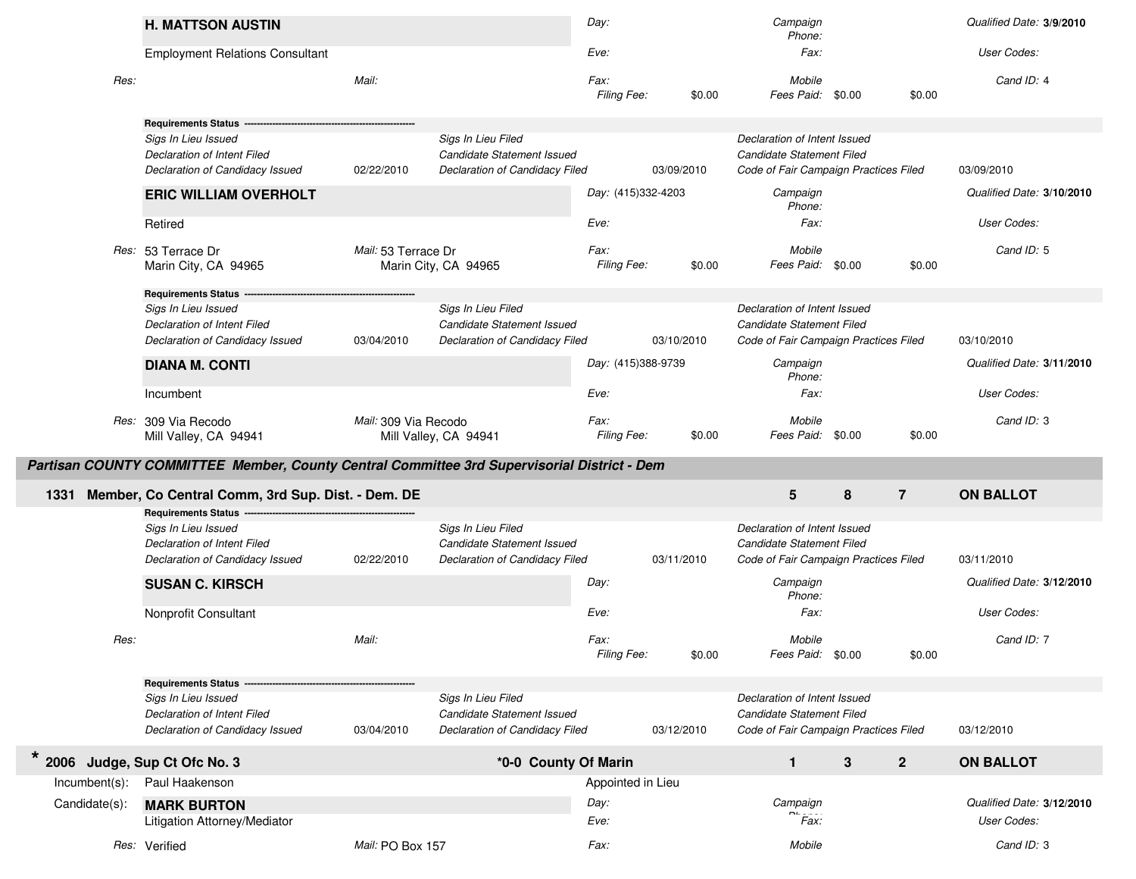|                  | <b>H. MATTSON AUSTIN</b>                                                                                                                                                                                                                                                                                                                      |                                                 |                                                                                                                                                                                                         | Day:                                              |                                    | Campaign<br>Phone:                                                                                                                                                                                                                                                    |              |                | Qualified Date: 3/9/2010                                                                                        |
|------------------|-----------------------------------------------------------------------------------------------------------------------------------------------------------------------------------------------------------------------------------------------------------------------------------------------------------------------------------------------|-------------------------------------------------|---------------------------------------------------------------------------------------------------------------------------------------------------------------------------------------------------------|---------------------------------------------------|------------------------------------|-----------------------------------------------------------------------------------------------------------------------------------------------------------------------------------------------------------------------------------------------------------------------|--------------|----------------|-----------------------------------------------------------------------------------------------------------------|
|                  | <b>Employment Relations Consultant</b>                                                                                                                                                                                                                                                                                                        |                                                 |                                                                                                                                                                                                         | Eve:                                              |                                    | Fax:                                                                                                                                                                                                                                                                  |              |                | User Codes:                                                                                                     |
| Res:             |                                                                                                                                                                                                                                                                                                                                               | Mail:                                           |                                                                                                                                                                                                         | Fax:<br>Filing Fee:                               | \$0.00                             | Mobile<br>Fees Paid: \$0.00                                                                                                                                                                                                                                           |              | \$0.00         | Cand ID: 4                                                                                                      |
|                  | <b>Requirements Status --</b><br>Sigs In Lieu Issued<br>Declaration of Intent Filed<br>Declaration of Candidacy Issued<br><b>ERIC WILLIAM OVERHOLT</b><br>Retired<br>Res: 53 Terrace Dr<br>Marin City, CA 94965<br><b>Requirements Status</b><br>Sigs In Lieu Issued<br><b>Declaration of Intent Filed</b><br>Declaration of Candidacy Issued | 02/22/2010<br>Mail: 53 Terrace Dr<br>03/04/2010 | Sigs In Lieu Filed<br><b>Candidate Statement Issued</b><br>Declaration of Candidacy Filed<br>Marin City, CA 94965<br>Sigs In Lieu Filed<br>Candidate Statement Issued<br>Declaration of Candidacy Filed | Day: (415)332-4203<br>Eve:<br>Fax:<br>Filing Fee: | 03/09/2010<br>\$0.00<br>03/10/2010 | Declaration of Intent Issued<br>Candidate Statement Filed<br>Code of Fair Campaign Practices Filed<br>Campaign<br>Phone:<br>Fax:<br>Mobile<br>Fees Paid: \$0.00<br>Declaration of Intent Issued<br>Candidate Statement Filed<br>Code of Fair Campaign Practices Filed |              | \$0.00         | 03/09/2010<br>Qualified Date: 3/10/2010<br>User Codes:<br>Cand ID: 5<br>03/10/2010<br>Qualified Date: 3/11/2010 |
|                  | <b>DIANA M. CONTI</b><br>Incumbent                                                                                                                                                                                                                                                                                                            |                                                 |                                                                                                                                                                                                         | Day: (415)388-9739<br>Eve:                        |                                    | Campaign<br>Phone:<br>Fax:                                                                                                                                                                                                                                            |              |                | User Codes:                                                                                                     |
|                  | Res: 309 Via Recodo<br>Mill Valley, CA 94941                                                                                                                                                                                                                                                                                                  | Mail: 309 Via Recodo<br>Mill Valley, CA 94941   |                                                                                                                                                                                                         | Fax:<br>Filing Fee:                               | \$0.00                             | Mobile<br>Fees Paid: \$0.00                                                                                                                                                                                                                                           |              | \$0.00         | Cand ID: 3                                                                                                      |
|                  |                                                                                                                                                                                                                                                                                                                                               |                                                 |                                                                                                                                                                                                         |                                                   |                                    |                                                                                                                                                                                                                                                                       |              |                |                                                                                                                 |
|                  | Partisan COUNTY COMMITTEE Member, County Central Committee 3rd Supervisorial District - Dem                                                                                                                                                                                                                                                   |                                                 |                                                                                                                                                                                                         |                                                   |                                    |                                                                                                                                                                                                                                                                       |              |                |                                                                                                                 |
| 1331             | Member, Co Central Comm, 3rd Sup. Dist. - Dem. DE                                                                                                                                                                                                                                                                                             |                                                 |                                                                                                                                                                                                         |                                                   |                                    | $5\phantom{.0}$                                                                                                                                                                                                                                                       | 8            | $\overline{7}$ | <b>ON BALLOT</b>                                                                                                |
| Res:             | <b>Requirements Status</b><br>Sigs In Lieu Issued<br>Declaration of Intent Filed<br>Declaration of Candidacy Issued<br><b>SUSAN C. KIRSCH</b><br>Nonprofit Consultant                                                                                                                                                                         | 02/22/2010<br>Mail:                             | Sigs In Lieu Filed<br><b>Candidate Statement Issued</b><br>Declaration of Candidacy Filed                                                                                                               | Day:<br>Eve:<br>Fax:                              | 03/11/2010                         | Declaration of Intent Issued<br>Candidate Statement Filed<br>Code of Fair Campaign Practices Filed<br>Campaign<br>Phone:<br>Fax:<br>Mobile                                                                                                                            |              |                | 03/11/2010<br>Qualified Date: 3/12/2010<br>User Codes:<br>Cand ID: 7                                            |
|                  |                                                                                                                                                                                                                                                                                                                                               |                                                 |                                                                                                                                                                                                         | Filing Fee:                                       | \$0.00                             | Fees Paid: \$0.00                                                                                                                                                                                                                                                     |              | \$0.00         |                                                                                                                 |
|                  | <b>Requirements Status</b><br>Sigs In Lieu Issued<br>Declaration of Intent Filed<br>Declaration of Candidacy Issued                                                                                                                                                                                                                           | 03/04/2010                                      | Sigs In Lieu Filed<br>Candidate Statement Issued<br>Declaration of Candidacy Filed                                                                                                                      |                                                   | 03/12/2010                         | Declaration of Intent Issued<br>Candidate Statement Filed<br>Code of Fair Campaign Practices Filed                                                                                                                                                                    |              |                | 03/12/2010                                                                                                      |
| $\star$          | 2006 Judge, Sup Ct Ofc No. 3                                                                                                                                                                                                                                                                                                                  |                                                 | *0-0 County Of Marin                                                                                                                                                                                    |                                                   |                                    | $\mathbf{1}$                                                                                                                                                                                                                                                          | $\mathbf{3}$ | $\overline{2}$ | <b>ON BALLOT</b>                                                                                                |
| $Incumbent(s)$ : | Paul Haakenson                                                                                                                                                                                                                                                                                                                                |                                                 |                                                                                                                                                                                                         | Appointed in Lieu                                 |                                    |                                                                                                                                                                                                                                                                       |              |                |                                                                                                                 |
| Candidate(s):    | <b>MARK BURTON</b><br>Litigation Attorney/Mediator                                                                                                                                                                                                                                                                                            |                                                 |                                                                                                                                                                                                         | Day:<br>Eve:                                      |                                    | Campaign<br>Fax:                                                                                                                                                                                                                                                      |              |                | Qualified Date: 3/12/2010<br>User Codes:                                                                        |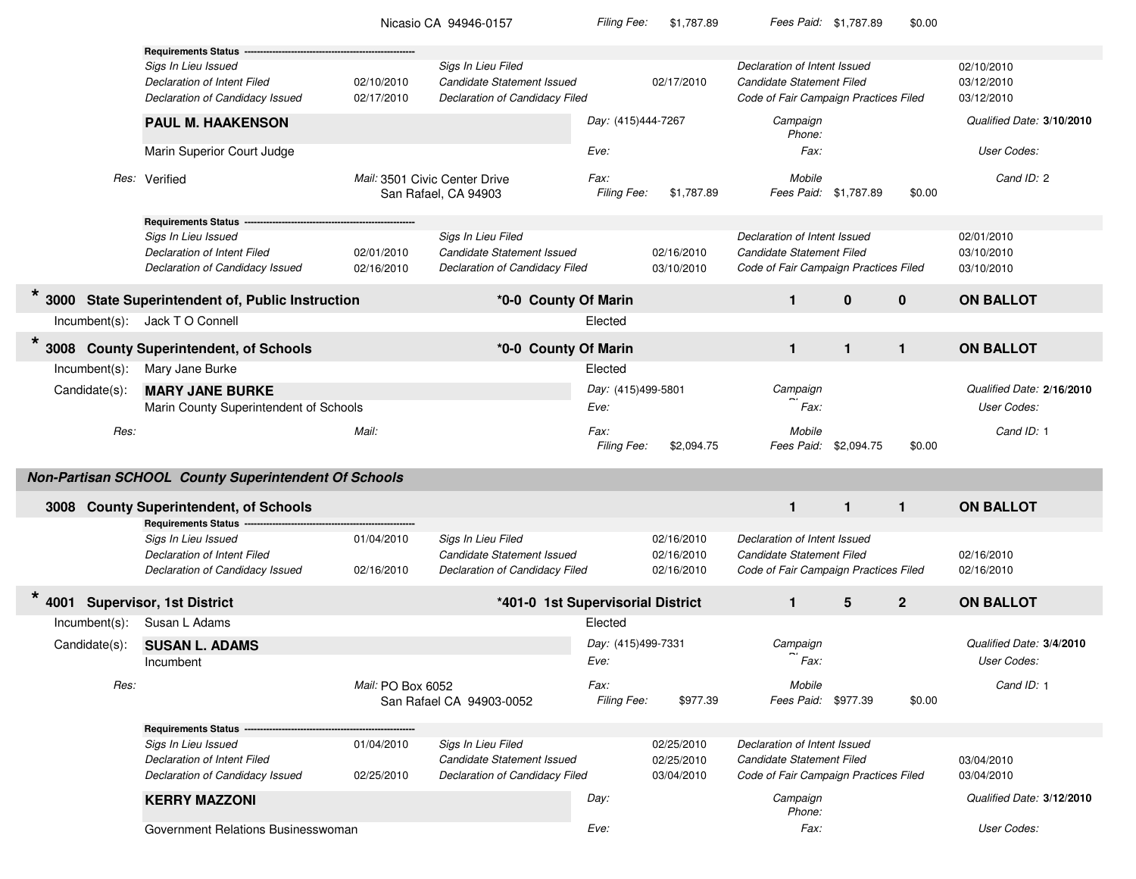|                               |                                                                                                                       |                          | Nicasio CA 94946-0157                                                                     | <b>Filing Fee:</b>         | \$1,787.89                             | Fees Paid: \$1,787.89                                                                              |              | \$0.00       |                                          |
|-------------------------------|-----------------------------------------------------------------------------------------------------------------------|--------------------------|-------------------------------------------------------------------------------------------|----------------------------|----------------------------------------|----------------------------------------------------------------------------------------------------|--------------|--------------|------------------------------------------|
|                               | <b>Requirements Status -</b><br>Sigs In Lieu Issued<br>Declaration of Intent Filed<br>Declaration of Candidacy Issued | 02/10/2010<br>02/17/2010 | Sigs In Lieu Filed<br>Candidate Statement Issued<br>Declaration of Candidacy Filed        |                            | 02/17/2010                             | Declaration of Intent Issued<br>Candidate Statement Filed<br>Code of Fair Campaign Practices Filed |              |              | 02/10/2010<br>03/12/2010<br>03/12/2010   |
|                               | <b>PAUL M. HAAKENSON</b>                                                                                              |                          |                                                                                           | Day: (415)444-7267         |                                        | Campaign<br>Phone:                                                                                 |              |              | Qualified Date: 3/10/2010                |
|                               | Marin Superior Court Judge                                                                                            |                          |                                                                                           | Eve:                       |                                        | Fax:                                                                                               |              |              | User Codes:                              |
|                               | Res: Verified                                                                                                         |                          | Mail: 3501 Civic Center Drive<br>San Rafael, CA 94903                                     | Fax:<br>Filing Fee:        | \$1,787.89                             | Mobile<br>Fees Paid: \$1,787.89                                                                    |              | \$0.00       | Cand ID: 2                               |
|                               | <b>Requirements Status -</b>                                                                                          |                          |                                                                                           |                            |                                        |                                                                                                    |              |              |                                          |
|                               | Sigs In Lieu Issued<br>Declaration of Intent Filed<br>Declaration of Candidacy Issued                                 | 02/01/2010<br>02/16/2010 | Sigs In Lieu Filed<br>Candidate Statement Issued<br>Declaration of Candidacy Filed        |                            | 02/16/2010<br>03/10/2010               | Declaration of Intent Issued<br>Candidate Statement Filed<br>Code of Fair Campaign Practices Filed |              |              | 02/01/2010<br>03/10/2010<br>03/10/2010   |
| $\star$                       | 3000 State Superintendent of, Public Instruction                                                                      |                          | *0-0 County Of Marin                                                                      |                            |                                        | $\mathbf{1}$                                                                                       | $\mathbf{0}$ | $\mathbf{0}$ | <b>ON BALLOT</b>                         |
|                               | Incumbent(s): Jack T O Connell                                                                                        |                          |                                                                                           | Elected                    |                                        |                                                                                                    |              |              |                                          |
| $\star$                       | 3008 County Superintendent, of Schools                                                                                |                          | *0-0 County Of Marin                                                                      |                            |                                        | $\mathbf{1}$                                                                                       | $\mathbf{1}$ | $\mathbf{1}$ | <b>ON BALLOT</b>                         |
| $Incumbent(s)$ :              | Mary Jane Burke                                                                                                       |                          |                                                                                           | Elected                    |                                        |                                                                                                    |              |              |                                          |
| Candidate(s):                 | <b>MARY JANE BURKE</b><br>Marin County Superintendent of Schools                                                      |                          |                                                                                           | Day: (415)499-5801<br>Eve: |                                        | Campaign<br>Fax:                                                                                   |              |              | Qualified Date: 2/16/2010<br>User Codes: |
| Res:                          |                                                                                                                       | Mail:                    |                                                                                           | Fax:<br>Filing Fee:        | \$2,094.75                             | Mobile<br>Fees Paid:                                                                               | \$2,094.75   | \$0.00       | Cand ID: 1                               |
|                               | Non-Partisan SCHOOL County Superintendent Of Schools                                                                  |                          |                                                                                           |                            |                                        |                                                                                                    |              |              |                                          |
|                               | 3008 County Superintendent, of Schools<br><b>Requirements Status -</b>                                                |                          |                                                                                           |                            |                                        | $\mathbf{1}$                                                                                       | $\mathbf{1}$ | $\mathbf{1}$ | <b>ON BALLOT</b>                         |
|                               | Sigs In Lieu Issued<br><b>Declaration of Intent Filed</b><br>Declaration of Candidacy Issued                          | 01/04/2010<br>02/16/2010 | Sigs In Lieu Filed<br><b>Candidate Statement Issued</b><br>Declaration of Candidacy Filed |                            | 02/16/2010<br>02/16/2010<br>02/16/2010 | Declaration of Intent Issued<br>Candidate Statement Filed<br>Code of Fair Campaign Practices Filed |              |              | 02/16/2010<br>02/16/2010                 |
| 4001 Supervisor, 1st District |                                                                                                                       |                          | *401-0 1st Supervisorial District                                                         |                            |                                        | $\mathbf{1}$                                                                                       | 5            | $\mathbf{2}$ | <b>ON BALLOT</b>                         |
| $Incumbent(s)$ :              | Susan L Adams                                                                                                         |                          |                                                                                           | Elected                    |                                        |                                                                                                    |              |              |                                          |
| Candidate(s):                 | <b>SUSAN L. ADAMS</b><br>Incumbent                                                                                    |                          |                                                                                           | Day: (415)499-7331<br>Eve: |                                        | Campaign<br>Fax:                                                                                   |              |              | Qualified Date: 3/4/2010<br>User Codes:  |
| Res:                          |                                                                                                                       | Mail: PO Box 6052        | San Rafael CA 94903-0052                                                                  | Fax:<br>Filing Fee:        | \$977.39                               | Mobile<br>Fees Paid: \$977.39                                                                      |              | \$0.00       | Cand ID: 1                               |
|                               | <b>Requirements Status -</b>                                                                                          |                          |                                                                                           |                            |                                        |                                                                                                    |              |              |                                          |
|                               | Sigs In Lieu Issued<br>Declaration of Intent Filed<br>Declaration of Candidacy Issued                                 | 01/04/2010<br>02/25/2010 | Sigs In Lieu Filed<br>Candidate Statement Issued<br>Declaration of Candidacy Filed        |                            | 02/25/2010<br>02/25/2010<br>03/04/2010 | Declaration of Intent Issued<br>Candidate Statement Filed<br>Code of Fair Campaign Practices Filed |              |              | 03/04/2010<br>03/04/2010                 |
|                               | <b>KERRY MAZZONI</b>                                                                                                  |                          |                                                                                           | Day:                       |                                        | Campaign                                                                                           |              |              | Qualified Date: 3/12/2010                |
|                               | Government Relations Businesswoman                                                                                    |                          |                                                                                           | Eve:                       |                                        | Phone:<br>Fax:                                                                                     |              |              | User Codes:                              |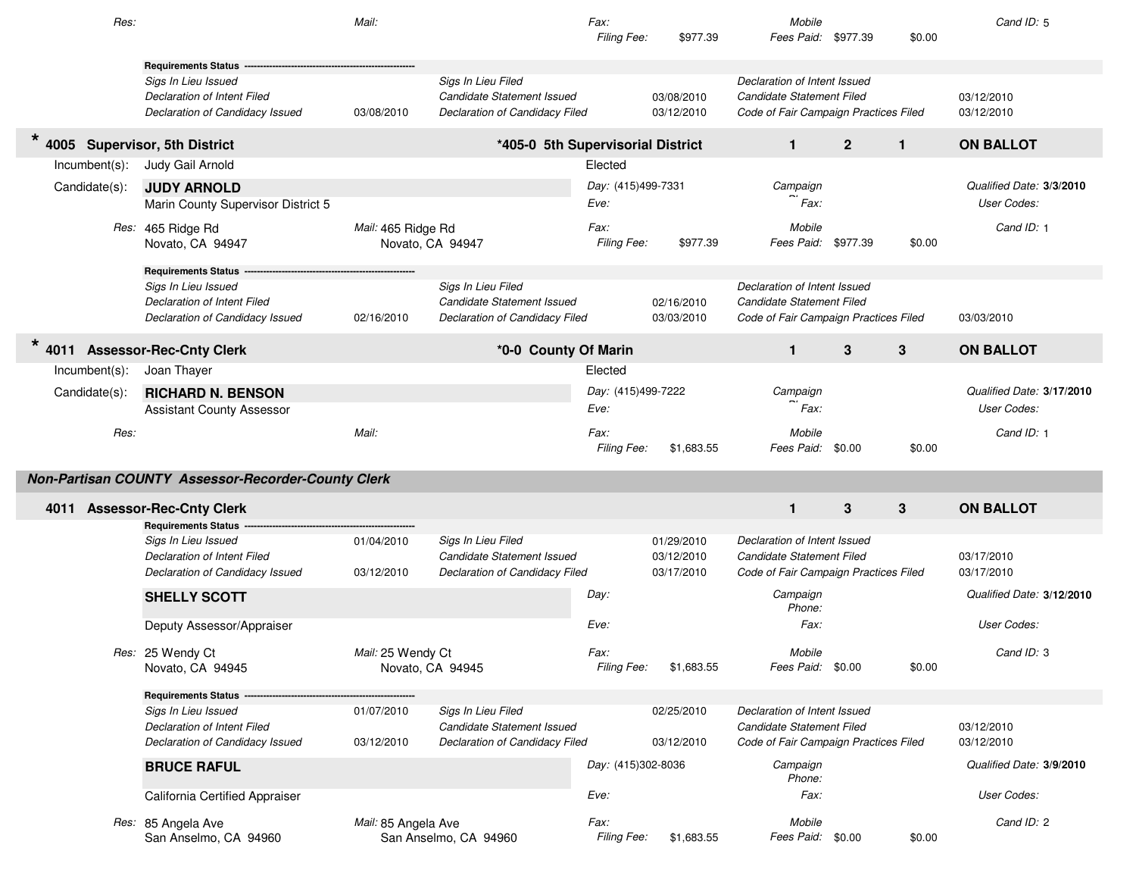| Res:             |                                                                | Mail:                                 |                                                              | Fax:<br>Filing Fee:        | \$977.39                 | Mobile<br>Fees Paid: \$977.39                                      |              | \$0.00       | Cand ID: 5                              |
|------------------|----------------------------------------------------------------|---------------------------------------|--------------------------------------------------------------|----------------------------|--------------------------|--------------------------------------------------------------------|--------------|--------------|-----------------------------------------|
|                  | <b>Requirements Status</b>                                     |                                       |                                                              |                            |                          |                                                                    |              |              |                                         |
|                  | Sigs In Lieu Issued                                            |                                       | Sigs In Lieu Filed                                           |                            |                          | Declaration of Intent Issued                                       |              |              |                                         |
|                  | Declaration of Intent Filed<br>Declaration of Candidacy Issued | 03/08/2010                            | Candidate Statement Issued<br>Declaration of Candidacy Filed |                            | 03/08/2010<br>03/12/2010 | Candidate Statement Filed<br>Code of Fair Campaign Practices Filed |              |              | 03/12/2010<br>03/12/2010                |
|                  |                                                                |                                       |                                                              |                            |                          |                                                                    |              |              |                                         |
|                  | 4005 Supervisor, 5th District                                  |                                       | *405-0 5th Supervisorial District                            |                            |                          | $\mathbf{1}$                                                       | $\mathbf{2}$ | $\mathbf{1}$ | <b>ON BALLOT</b>                        |
| $Incumbent(s)$ : | Judy Gail Arnold                                               |                                       |                                                              | Elected                    |                          |                                                                    |              |              |                                         |
| Candidate(s):    | <b>JUDY ARNOLD</b><br>Marin County Supervisor District 5       |                                       |                                                              | Day: (415)499-7331<br>Eve: |                          | Campaign<br>Fax:                                                   |              |              | Qualified Date: 3/3/2010<br>User Codes: |
|                  | Res: 465 Ridge Rd                                              | Mail: 465 Ridge Rd                    |                                                              | Fax:                       |                          | Mobile                                                             |              |              | Cand ID: 1                              |
|                  | Novato, CA 94947                                               | Novato, CA 94947                      |                                                              | Filing Fee:                | \$977.39                 | Fees Paid: \$977.39                                                |              | \$0.00       |                                         |
|                  | <b>Requirements Status</b>                                     |                                       |                                                              |                            |                          |                                                                    |              |              |                                         |
|                  | Sigs In Lieu Issued                                            |                                       | Sigs In Lieu Filed                                           |                            |                          | Declaration of Intent Issued                                       |              |              |                                         |
|                  | Declaration of Intent Filed                                    |                                       | Candidate Statement Issued                                   |                            | 02/16/2010               | Candidate Statement Filed                                          |              |              |                                         |
|                  | Declaration of Candidacy Issued                                | 02/16/2010                            | Declaration of Candidacy Filed                               |                            | 03/03/2010               | Code of Fair Campaign Practices Filed                              |              |              | 03/03/2010                              |
|                  | 4011 Assessor-Rec-Cnty Clerk                                   |                                       | *0-0 County Of Marin                                         |                            |                          | $\mathbf{1}$                                                       | 3            | 3            | <b>ON BALLOT</b>                        |
| $Incumbent(s)$ : | Joan Thayer                                                    |                                       |                                                              | Elected                    |                          |                                                                    |              |              |                                         |
| Candidate(s):    | <b>RICHARD N. BENSON</b>                                       |                                       |                                                              | Day: (415)499-7222         |                          | Campaign                                                           |              |              | Qualified Date: 3/17/2010               |
|                  | <b>Assistant County Assessor</b>                               |                                       |                                                              | Eve:                       |                          | Fax:                                                               |              |              | User Codes:                             |
| Res:             |                                                                | Mail:                                 |                                                              | Fax:<br>Filing Fee:        | \$1,683.55               | Mobile<br>Fees Paid: \$0.00                                        |              | \$0.00       | Cand ID: 1                              |
|                  | Non-Partisan COUNTY Assessor-Recorder-County Clerk             |                                       |                                                              |                            |                          |                                                                    |              |              |                                         |
|                  | 4011 Assessor-Rec-Cnty Clerk                                   |                                       |                                                              |                            |                          | $\mathbf{1}$                                                       | 3            | 3            | <b>ON BALLOT</b>                        |
|                  | <b>Requirements Status</b>                                     |                                       |                                                              |                            |                          |                                                                    |              |              |                                         |
|                  | Sigs In Lieu Issued                                            | 01/04/2010                            | Sigs In Lieu Filed                                           |                            | 01/29/2010               | Declaration of Intent Issued                                       |              |              |                                         |
|                  | Declaration of Intent Filed                                    |                                       | <b>Candidate Statement Issued</b>                            |                            | 03/12/2010               | Candidate Statement Filed                                          |              |              | 03/17/2010                              |
|                  | Declaration of Candidacy Issued                                | 03/12/2010                            | Declaration of Candidacy Filed                               |                            | 03/17/2010               | Code of Fair Campaign Practices Filed                              |              |              | 03/17/2010                              |
|                  | SHELLY SCOTT                                                   |                                       |                                                              | Day:                       |                          | Campaign<br>Phone:                                                 |              |              | Qualified Date: 3/12/2010               |
|                  | Deputy Assessor/Appraiser                                      |                                       |                                                              | Eve:                       |                          | Fax:                                                               |              |              | User Codes:                             |
|                  | Res: 25 Wendy Ct<br>Novato, CA 94945                           | Mail: 25 Wendy Ct<br>Novato, CA 94945 |                                                              | Fax:<br>Filing Fee:        | \$1,683.55               | Mobile<br>Fees Paid: \$0.00                                        |              | \$0.00       | Cand ID: 3                              |
|                  | Requirements Status --                                         |                                       |                                                              |                            |                          |                                                                    |              |              |                                         |
|                  | Sigs In Lieu Issued                                            | 01/07/2010                            | Sigs In Lieu Filed                                           |                            | 02/25/2010               | Declaration of Intent Issued                                       |              |              |                                         |
|                  | Declaration of Intent Filed                                    |                                       | Candidate Statement Issued                                   |                            |                          | Candidate Statement Filed                                          |              |              | 03/12/2010                              |
|                  | Declaration of Candidacy Issued                                | 03/12/2010                            | Declaration of Candidacy Filed                               |                            | 03/12/2010               | Code of Fair Campaign Practices Filed                              |              |              | 03/12/2010                              |
|                  | <b>BRUCE RAFUL</b>                                             |                                       |                                                              | Day: (415)302-8036         |                          | Campaign<br>Phone:                                                 |              |              | Qualified Date: 3/9/2010                |
|                  | California Certified Appraiser                                 |                                       |                                                              | Eve:                       |                          | Fax:                                                               |              |              | User Codes:                             |
|                  | Res: 85 Angela Ave<br>San Anselmo, CA 94960                    | Mail: 85 Angela Ave                   | San Anselmo, CA 94960                                        | Fax:<br>Filing Fee:        | \$1,683.55               | Mobile<br>Fees Paid: \$0.00                                        |              | \$0.00       | Cand ID: 2                              |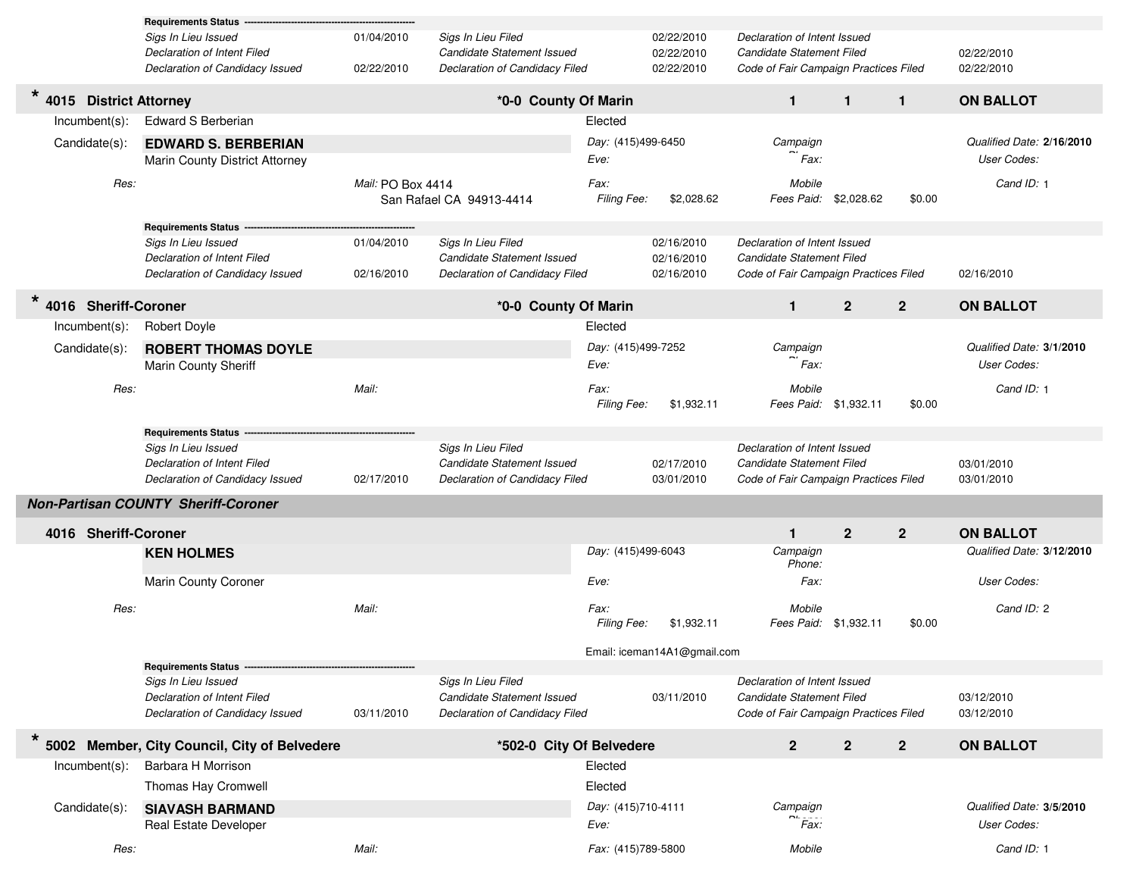|                                   | <b>Requirements Status</b>                                                            |                          |                                                                                    |                     |                                        |                                                                                                    |                       |              |                           |
|-----------------------------------|---------------------------------------------------------------------------------------|--------------------------|------------------------------------------------------------------------------------|---------------------|----------------------------------------|----------------------------------------------------------------------------------------------------|-----------------------|--------------|---------------------------|
|                                   | Sigs In Lieu Issued<br>Declaration of Intent Filed<br>Declaration of Candidacy Issued | 01/04/2010<br>02/22/2010 | Sigs In Lieu Filed<br>Candidate Statement Issued<br>Declaration of Candidacy Filed |                     | 02/22/2010<br>02/22/2010<br>02/22/2010 | Declaration of Intent Issued<br>Candidate Statement Filed<br>Code of Fair Campaign Practices Filed |                       |              | 02/22/2010<br>02/22/2010  |
| $\star$<br>4015 District Attorney |                                                                                       |                          | *0-0 County Of Marin                                                               |                     |                                        | $\mathbf{1}$                                                                                       | $\mathbf{1}$          | $\mathbf{1}$ | <b>ON BALLOT</b>          |
| $Incumbent(s)$ :                  | <b>Edward S Berberian</b>                                                             |                          |                                                                                    | Elected             |                                        |                                                                                                    |                       |              |                           |
| Candidate(s):                     | <b>EDWARD S. BERBERIAN</b>                                                            |                          |                                                                                    | Day: (415)499-6450  |                                        | Campaign                                                                                           |                       |              | Qualified Date: 2/16/2010 |
|                                   | Marin County District Attorney                                                        |                          |                                                                                    | Eve:                |                                        | Fax:                                                                                               |                       |              | User Codes:               |
| Res:                              |                                                                                       | Mail: PO Box 4414        | San Rafael CA 94913-4414                                                           | Fax:<br>Filing Fee: | \$2,028.62                             | Mobile                                                                                             | Fees Paid: \$2,028.62 | \$0.00       | Cand ID: 1                |
|                                   | <b>Requirements Status -</b>                                                          |                          |                                                                                    |                     |                                        |                                                                                                    |                       |              |                           |
|                                   | Sigs In Lieu Issued<br>Declaration of Intent Filed                                    | 01/04/2010               | Sigs In Lieu Filed<br>Candidate Statement Issued                                   |                     | 02/16/2010<br>02/16/2010               | Declaration of Intent Issued<br>Candidate Statement Filed                                          |                       |              |                           |
|                                   | Declaration of Candidacy Issued                                                       | 02/16/2010               | Declaration of Candidacy Filed                                                     |                     | 02/16/2010                             | Code of Fair Campaign Practices Filed                                                              |                       |              | 02/16/2010                |
| $\star$<br>4016 Sheriff-Coroner   |                                                                                       |                          | *0-0 County Of Marin                                                               |                     |                                        | $\mathbf{1}$                                                                                       | $\overline{2}$        | $2^{\circ}$  | <b>ON BALLOT</b>          |
| Incumbent(s):                     | <b>Robert Doyle</b>                                                                   |                          |                                                                                    | Elected             |                                        |                                                                                                    |                       |              |                           |
| Candidate(s):                     | <b>ROBERT THOMAS DOYLE</b>                                                            |                          |                                                                                    | Day: (415)499-7252  |                                        | Campaign                                                                                           |                       |              | Qualified Date: 3/1/2010  |
|                                   | Marin County Sheriff                                                                  |                          |                                                                                    | Eve:                |                                        | Fax:                                                                                               |                       |              | User Codes:               |
| Res:                              |                                                                                       | Mail:                    |                                                                                    | Fax:<br>Filing Fee: | \$1,932.11                             | Mobile<br>Fees Paid: \$1,932.11                                                                    |                       | \$0.00       | Cand ID: 1                |
|                                   | <b>Requirements Status</b>                                                            |                          |                                                                                    |                     |                                        |                                                                                                    |                       |              |                           |
|                                   | Sigs In Lieu Issued                                                                   |                          | Sigs In Lieu Filed                                                                 |                     |                                        | Declaration of Intent Issued                                                                       |                       |              |                           |
|                                   | Declaration of Intent Filed<br>Declaration of Candidacy Issued                        | 02/17/2010               | Candidate Statement Issued<br>Declaration of Candidacy Filed                       |                     | 02/17/2010<br>03/01/2010               | Candidate Statement Filed<br>Code of Fair Campaign Practices Filed                                 |                       |              | 03/01/2010<br>03/01/2010  |
|                                   | <b>Non-Partisan COUNTY Sheriff-Coroner</b>                                            |                          |                                                                                    |                     |                                        |                                                                                                    |                       |              |                           |
| 4016 Sheriff-Coroner              |                                                                                       |                          |                                                                                    |                     |                                        | $\mathbf{1}$                                                                                       | $\overline{2}$        | $2^{\circ}$  | <b>ON BALLOT</b>          |
|                                   | <b>KEN HOLMES</b>                                                                     |                          |                                                                                    | Day: (415)499-6043  |                                        | Campaign<br>Phone:                                                                                 |                       |              | Qualified Date: 3/12/2010 |
|                                   | Marin County Coroner                                                                  |                          |                                                                                    | Eve:                |                                        | Fax:                                                                                               |                       |              | User Codes:               |
| Res:                              |                                                                                       | Mail:                    |                                                                                    | Fax:<br>Filing Fee: | \$1,932.11                             | Mobile<br>Fees Paid: \$1,932.11                                                                    |                       | \$0.00       | Cand ID: 2                |
|                                   |                                                                                       |                          |                                                                                    |                     | Email: iceman14A1@gmail.com            |                                                                                                    |                       |              |                           |
|                                   | <b>Requirements Status -</b>                                                          |                          | Sigs In Lieu Filed                                                                 |                     |                                        |                                                                                                    |                       |              |                           |
|                                   | Sigs In Lieu Issued<br>Declaration of Intent Filed<br>Declaration of Candidacy Issued | 03/11/2010               | Candidate Statement Issued<br>Declaration of Candidacy Filed                       |                     | 03/11/2010                             | Declaration of Intent Issued<br>Candidate Statement Filed<br>Code of Fair Campaign Practices Filed |                       |              | 03/12/2010<br>03/12/2010  |
| $\star$                           | 5002 Member, City Council, City of Belvedere                                          |                          | *502-0 City Of Belvedere                                                           |                     |                                        | $2^{\circ}$                                                                                        | $\mathbf 2$           | $2^{\circ}$  | <b>ON BALLOT</b>          |
| $Incumbent(s)$ :                  | Barbara H Morrison                                                                    |                          |                                                                                    | Elected             |                                        |                                                                                                    |                       |              |                           |
|                                   | Thomas Hay Cromwell                                                                   |                          |                                                                                    | Elected             |                                        |                                                                                                    |                       |              |                           |
| Candidate(s):                     | <b>SIAVASH BARMAND</b>                                                                |                          |                                                                                    | Day: (415)710-4111  |                                        | Campaign                                                                                           |                       |              | Qualified Date: 3/5/2010  |
|                                   | Real Estate Developer                                                                 |                          |                                                                                    | Eve:                |                                        | Fax:                                                                                               |                       |              | User Codes:               |
| Res:                              |                                                                                       | Mail:                    |                                                                                    | Fax: (415)789-5800  |                                        | Mobile                                                                                             |                       |              | Cand ID: 1                |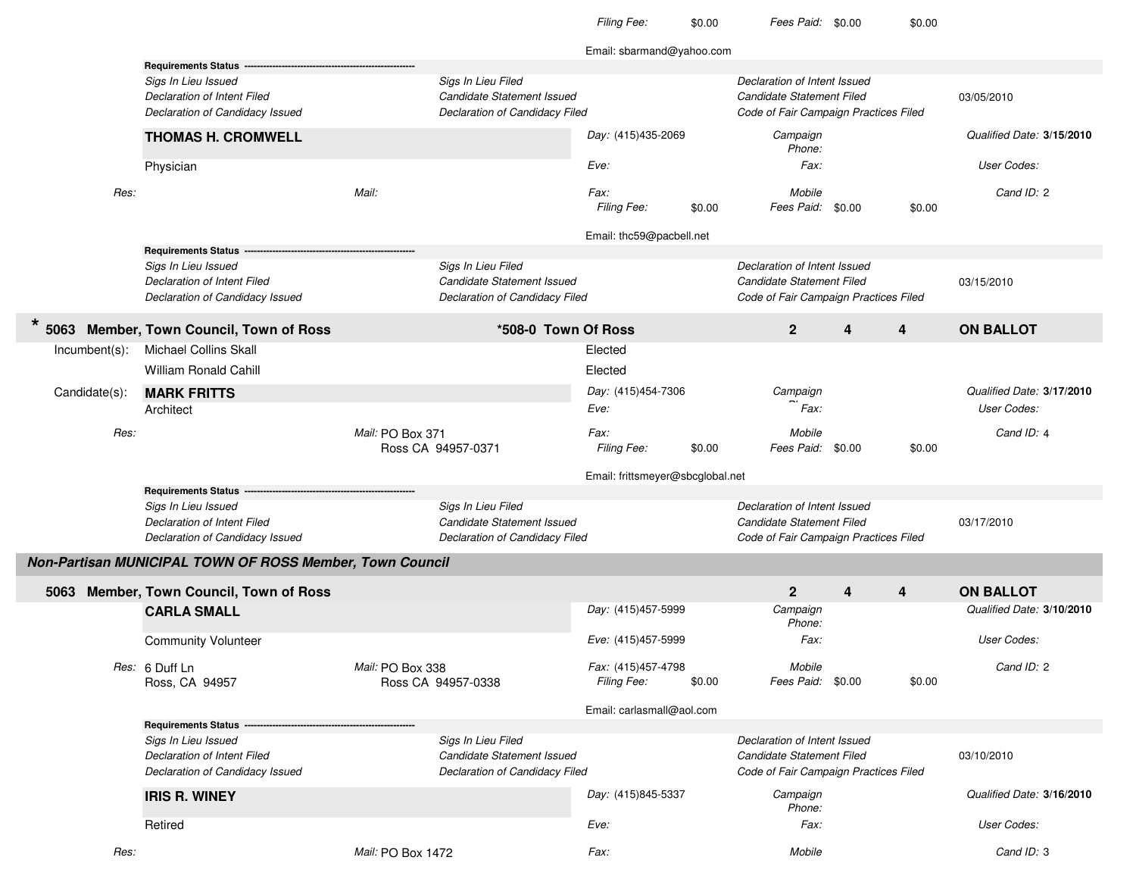Day: (415)435-2069 Eve:Cand ID: 2\$0.00Eve:Cand ID: 4 \$0.00Day: (415)457-5999 r  $Eve: (415)457-5999$ Cand ID: 2\$0.00Day: (415)845-5337 Eve:Cand ID: 3Email: sbarmand@yahoo.com**Requirements Status** Sigs In Lieu IssuedSigs In Lieu Issued Sigs In Lieu Filed Sigs In Lieu Filed Canadiate Statement Issued Declaration of Intent Issued<br>Declaration of Intent Filed Declaration of Intent Filed Canadiate Statement Issued Declaration of Intent Fil Candidate Statement Issued 03/05/2010Declaration of Candidacy Issued **Declaration of Candidacy Filed** Code of Fair Campaign Practices Filed Code of Fair Campaign Practices Filed **3/15/2010**Qualified Date: Physiciann and the state of the state of the state of the state of the state of the state of the state of the state of the state of the state of the state of the state of the state of the state of the state of the state of the stat **THOMAS H. CROMWELL** (415)435-2069 Campaign Phone:Res: Mail: Fax:Fax: Mobile Filing Fee: \$0.00 Fees Paid: \$0.00 \$0.00 Email: thc59@pacbell.net**Requirements Status** Sigs In Lieu IssuedSigs In Lieu Issued Sigs In Lieu Filed Sigs In Lieu Filed Sigs In Lieu Filed Sigs In Lieu Candidate Statement<br>Declaration of Intent Filed Statement Opportunity Candidate Statement Issued Statement Candidate Statement Filed Candidate Statement Issued 03/15/2010Declaration of Candidacy Issued **Declaration of Candidacy Filed** Code of Fair Campaign Practices Filed Code of Fair Campaign Practices Filed **\* <sup>5063</sup> Member, Town Council, Town of Ross \*508-0 Town Of Ross <sup>2</sup> <sup>4</sup> <sup>4</sup> ON BALLOT**Incumbent(s): Michael Collins Skalll and the contract of the contract of the contract of the contract of the contract of the contract of the contract of the contract of the contract of the contract of the contract of the contract of the contract of the cont William Ronald Cahilll and the contract of the contract of the contract of the contract of the contract of the contract of the contract of the contract of the contract of the contract of the contract of the contract of the contract of the cont Candidate(s): **MARK FRITTS** $D$ ay: (415)454-7306 Campaign<br>Campaign Campaign Campaign Campaign Campaign Campaign Campaign Campaign Campaign Campaign Campaign Campaign Ca .<br>Fax: Qualified Date: **3/17/2010**Architectt the codes: the codes: the codes: the codes: the codes: the codes: the codes: the codes: the codes: the codes: the codes: the codes: the codes: the codes: the codes: the codes: the codes: the codes: the codes: the codes: Res:  $\mu$  Mail: PO Box 371 Fax: Mobile Ross CA 94957-0371Filing Fee:  $$0.00$  Fees Paid:  $$0.00$   $$0.00$ Email: frittsmeyer@sbcglobal.net**Requirements Status** Sigs In Lieu IssuedSigs In Lieu Issued Sigs In Lieu Filed Sigs In Lieu Filed Care and the Declaration of Intent Issued<br>Declaration of Intent Filed Declaration of Intent Tiled Candidate Statement Declaration of Intent Filed Declaration of Int **Candidate Statement Issued**  03/17/2010Declaration of Candidacy Issued **Declaration of Candidacy Filed** Code of Fair Campaign Practices Filed Code of Fair Campaign Practices Filed **Non-Partisan MUNICIPAL TOWN OF ROSS Member, Town Council5063 Member, Town Council, Town of Ross <sup>2</sup> <sup>4</sup> <sup>4</sup> ON BALLOT 3/10/2010**Qualified Date: Community Volunteer Fax: User Codes: **CARLA SMALL** (415)457-5999 Campaign Phone:Res: 6 Duff Ln Mail: PO Box 338 Fax: (415)457-4798 Mobile Ross, CA 94957 Ross CA 94957-0338 Filing Fee: Fees Paid: \$0.00 \$0.00 Email: carlasmall@aol.com**Requirements Status** Sigs In Lieu IssuedSigs In Lieu Issued and Issued and Declaration of Intent Issued Sigs In Lieu Filed<br>Declaration of Intent Filed Declaration of Intent Tiled Candidate Statement Issued Declaration of Intent Tiled **Candidate Statement Issued**  03/10/2010Declaration of Candidacy Issued **Declaration of Candidacy Filed** Code of Fair Campaign Practices Filed Code of Fair Campaign Practices Filed **3/16/2010**Qualified Date: Retiredd results of the series of the series of the series of the series of the series of the User Codes:<br>In the series of the series of the series of the series of the series of the series of the series of the serie **IRIS R. WINEY** (415)845-5337 Campaign Phone:Res:  $\mu$  Mail: PO Box 1472 2 **Fax:** Fax: Mobile

\$0.00

Filing Fee: \$0.00 Fees Paid: \$0.00 \$0.00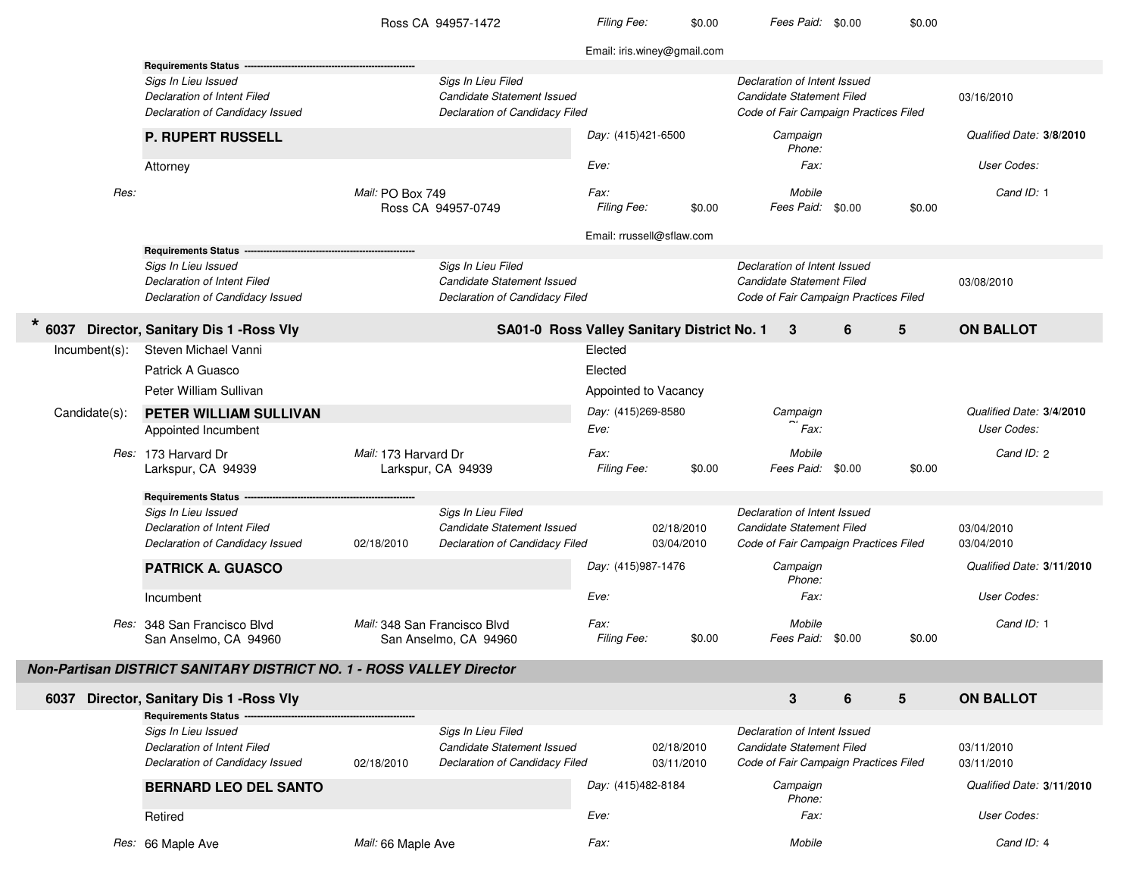|               |                                                                      |                              | Ross CA 94957-1472                         | Filing Fee:                | \$0.00                      | Fees Paid: \$0.00                     |   | \$0.00 |                           |
|---------------|----------------------------------------------------------------------|------------------------------|--------------------------------------------|----------------------------|-----------------------------|---------------------------------------|---|--------|---------------------------|
|               |                                                                      |                              |                                            |                            | Email: iris.winey@gmail.com |                                       |   |        |                           |
|               | <b>Requirements Status</b>                                           |                              |                                            |                            |                             |                                       |   |        |                           |
|               | Sigs In Lieu Issued                                                  |                              | Sigs In Lieu Filed                         |                            |                             | Declaration of Intent Issued          |   |        |                           |
|               | <b>Declaration of Intent Filed</b>                                   |                              | Candidate Statement Issued                 |                            |                             | Candidate Statement Filed             |   |        | 03/16/2010                |
|               | Declaration of Candidacy Issued                                      |                              | Declaration of Candidacy Filed             |                            |                             | Code of Fair Campaign Practices Filed |   |        |                           |
|               | <b>P. RUPERT RUSSELL</b>                                             |                              |                                            | Day: (415)421-6500         |                             | Campaign<br>Phone:                    |   |        | Qualified Date: 3/8/2010  |
|               | Attorney                                                             |                              |                                            | Eve:                       |                             | Fax:                                  |   |        | User Codes:               |
| Res:          |                                                                      | Mail: PO Box 749             | Ross CA 94957-0749                         | <i>Fax:</i><br>Filing Fee: | \$0.00                      | Mobile<br>Fees Paid: \$0.00           |   | \$0.00 | Cand ID: 1                |
|               |                                                                      |                              |                                            | Email: rrussell@sflaw.com  |                             |                                       |   |        |                           |
|               | <b>Requirements Status</b>                                           |                              |                                            |                            |                             |                                       |   |        |                           |
|               | Sigs In Lieu Issued                                                  |                              | Sigs In Lieu Filed                         |                            |                             | Declaration of Intent Issued          |   |        |                           |
|               | Declaration of Intent Filed                                          |                              | Candidate Statement Issued                 |                            |                             | Candidate Statement Filed             |   |        | 03/08/2010                |
|               | Declaration of Candidacy Issued                                      |                              | Declaration of Candidacy Filed             |                            |                             | Code of Fair Campaign Practices Filed |   |        |                           |
| *<br>6037     | Director, Sanitary Dis 1 - Ross Vly                                  |                              | SA01-0 Ross Valley Sanitary District No. 1 |                            |                             | 3                                     | 6 | 5      | <b>ON BALLOT</b>          |
| Incumbent(s): | Steven Michael Vanni                                                 |                              |                                            | Elected                    |                             |                                       |   |        |                           |
|               | Patrick A Guasco                                                     |                              |                                            | Elected                    |                             |                                       |   |        |                           |
|               | Peter William Sullivan                                               |                              |                                            | Appointed to Vacancy       |                             |                                       |   |        |                           |
| Candidate(s): | PETER WILLIAM SULLIVAN                                               |                              |                                            | Day: (415)269-8580         |                             | Campaign                              |   |        | Qualified Date: 3/4/2010  |
|               | Appointed Incumbent                                                  |                              |                                            | Eve:                       |                             | Fax:                                  |   |        | User Codes:               |
|               | Res: 173 Harvard Dr<br>Larkspur, CA 94939                            | Mail: 173 Harvard Dr         | Larkspur, CA 94939                         | Fax:<br>Filing Fee:        | \$0.00                      | Mobile<br>Fees Paid: \$0.00           |   | \$0.00 | Cand ID: 2                |
|               | <b>Requirements Status</b>                                           |                              |                                            |                            |                             |                                       |   |        |                           |
|               | Sigs In Lieu Issued                                                  |                              | Sigs In Lieu Filed                         |                            |                             | Declaration of Intent Issued          |   |        |                           |
|               | Declaration of Intent Filed                                          |                              | <b>Candidate Statement Issued</b>          |                            | 02/18/2010                  | Candidate Statement Filed             |   |        | 03/04/2010                |
|               | Declaration of Candidacy Issued                                      | 02/18/2010                   | Declaration of Candidacy Filed             |                            | 03/04/2010                  | Code of Fair Campaign Practices Filed |   |        | 03/04/2010                |
|               | <b>PATRICK A. GUASCO</b>                                             |                              |                                            | Day: (415)987-1476         |                             | Campaign<br>Phone:                    |   |        | Qualified Date: 3/11/2010 |
|               | Incumbent                                                            |                              |                                            | Eve:                       |                             | <i>Fax:</i>                           |   |        | User Codes:               |
|               | Res: 348 San Francisco Blvd<br>San Anselmo, CA 94960                 | Mail: 348 San Francisco Blvd | San Anselmo, CA 94960                      | <i>Fax:</i><br>Filing Fee: | \$0.00                      | Mobile<br>Fees Paid: \$0.00           |   | \$0.00 | Cand ID: 1                |
|               | Non-Partisan DISTRICT SANITARY DISTRICT NO. 1 - ROSS VALLEY Director |                              |                                            |                            |                             |                                       |   |        |                           |
|               | 6037 Director, Sanitary Dis 1 - Ross Vly                             |                              |                                            |                            |                             | 3                                     | 6 | 5      | <b>ON BALLOT</b>          |
|               | <b>Requirements Status --</b>                                        |                              |                                            |                            |                             |                                       |   |        |                           |
|               | Sigs In Lieu Issued                                                  |                              | Sigs In Lieu Filed                         |                            |                             | Declaration of Intent Issued          |   |        |                           |
|               | <b>Declaration of Intent Filed</b>                                   |                              | Candidate Statement Issued                 |                            | 02/18/2010                  | Candidate Statement Filed             |   |        | 03/11/2010                |
|               | Declaration of Candidacy Issued                                      | 02/18/2010                   | Declaration of Candidacy Filed             |                            | 03/11/2010                  | Code of Fair Campaign Practices Filed |   |        | 03/11/2010                |
|               | <b>BERNARD LEO DEL SANTO</b>                                         |                              |                                            | Day: (415)482-8184         |                             | Campaign<br>Phone:                    |   |        | Qualified Date: 3/11/2010 |
|               | Retired                                                              |                              |                                            | Eve:                       |                             | Fax:                                  |   |        | User Codes:               |
|               | Res: 66 Maple Ave                                                    | Mail: 66 Maple Ave           |                                            | Fax:                       |                             | Mobile                                |   |        | Cand ID: 4                |